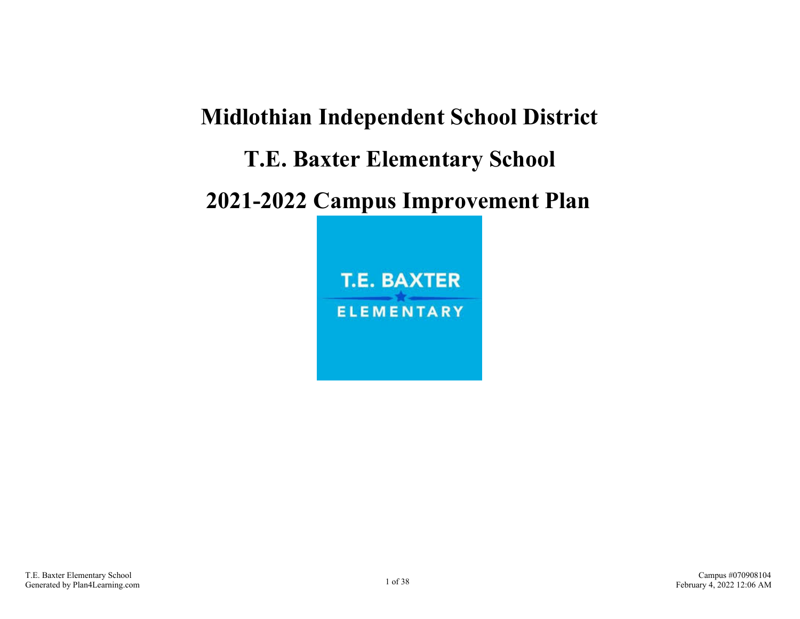# **Midlothian Independent School District T.E. Baxter Elementary School 2021-2022 Campus Improvement Plan**

**T.E. BAXTER ELEMENTARY**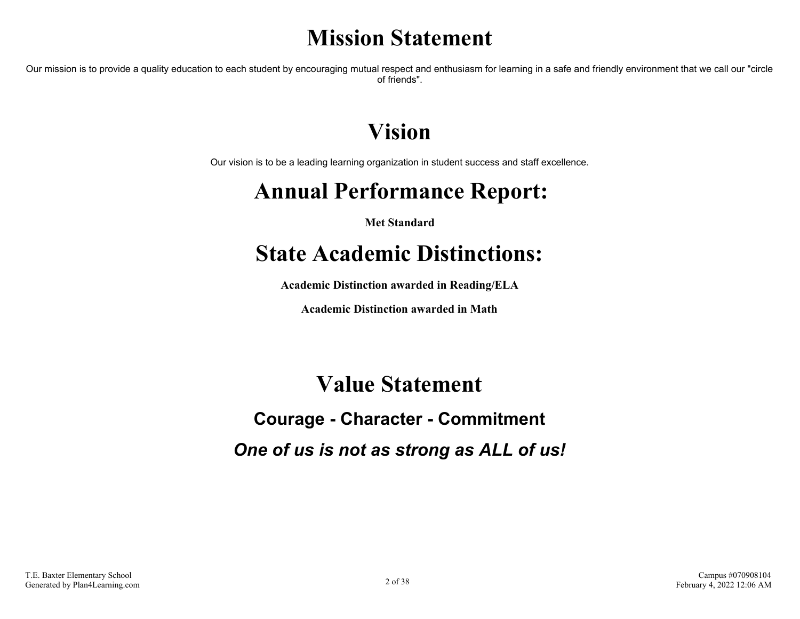# **Mission Statement**

Our mission is to provide a quality education to each student by encouraging mutual respect and enthusiasm for learning in a safe and friendly environment that we call our "circle of friends".

# **Vision**

Our vision is to be a leading learning organization in student success and staff excellence.

# **Annual Performance Report:**

**Met Standard**

# **State Academic Distinctions:**

**Academic Distinction awarded in Reading/ELA**

**Academic Distinction awarded in Math**

### **Value Statement**

# **Courage - Character - Commitment**

*One of us is not as strong as ALL of us!*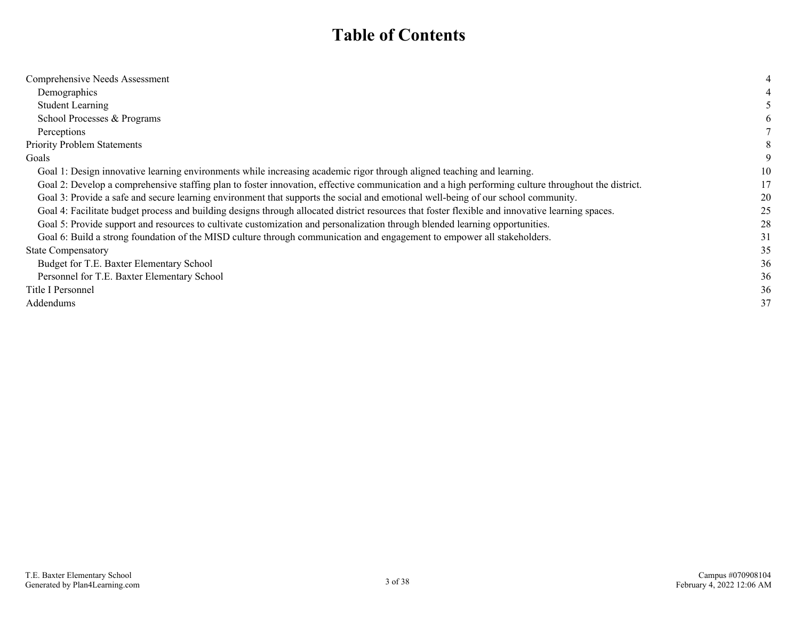### **Table of Contents**

| Comprehensive Needs Assessment                                                                                                                     |    |
|----------------------------------------------------------------------------------------------------------------------------------------------------|----|
| Demographics                                                                                                                                       |    |
| <b>Student Learning</b>                                                                                                                            |    |
| School Processes & Programs                                                                                                                        |    |
| Perceptions                                                                                                                                        |    |
| <b>Priority Problem Statements</b>                                                                                                                 |    |
| Goals                                                                                                                                              |    |
| Goal 1: Design innovative learning environments while increasing academic rigor through aligned teaching and learning.                             | 10 |
| Goal 2: Develop a comprehensive staffing plan to foster innovation, effective communication and a high performing culture throughout the district. | 17 |
| Goal 3: Provide a safe and secure learning environment that supports the social and emotional well-being of our school community.                  | 20 |
| Goal 4: Facilitate budget process and building designs through allocated district resources that foster flexible and innovative learning spaces.   | 25 |
| Goal 5: Provide support and resources to cultivate customization and personalization through blended learning opportunities.                       | 28 |
| Goal 6: Build a strong foundation of the MISD culture through communication and engagement to empower all stakeholders.                            | 31 |
| <b>State Compensatory</b>                                                                                                                          | 35 |
| Budget for T.E. Baxter Elementary School                                                                                                           | 36 |
| Personnel for T.E. Baxter Elementary School                                                                                                        | 36 |
| Title I Personnel                                                                                                                                  | 36 |
| Addendums                                                                                                                                          | 37 |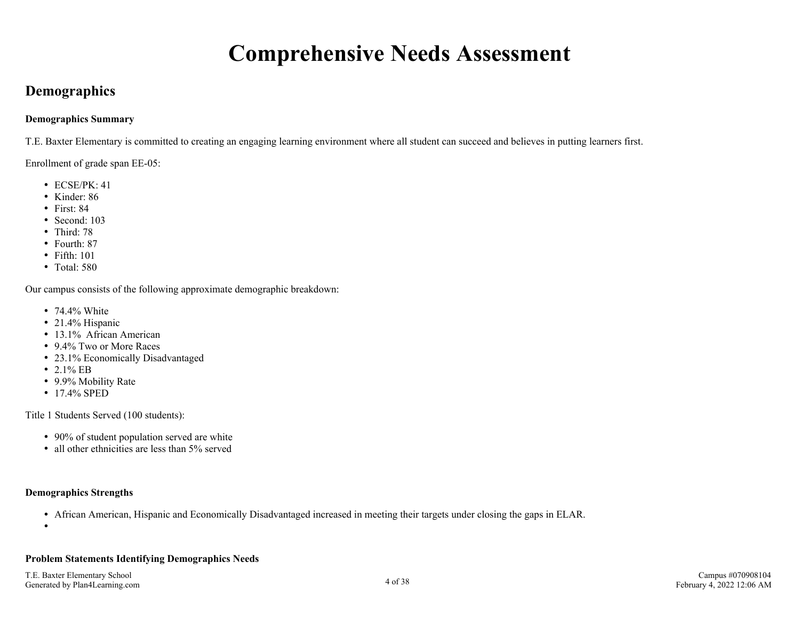# **Comprehensive Needs Assessment**

### <span id="page-3-0"></span>**Demographics**

#### **Demographics Summary**

T.E. Baxter Elementary is committed to creating an engaging learning environment where all student can succeed and believes in putting learners first.

Enrollment of grade span EE-05:

- $\cdot$  ECSE/PK $\cdot$  41
- Kinder:  $86$
- $\bullet$  First: 84
- Second: 103
- Third: 78
- Fourth: 87
- Fifth: 101
- Total: 580

Our campus consists of the following approximate demographic breakdown:

- 74.4% White
- 21.4% Hispanic
- 13.1% African American
- 9.4% Two or More Races
- 23.1% Economically Disadvantaged
- 2.1% EB
- 9.9% Mobility Rate
- 17.4% SPED

Title 1 Students Served (100 students):

- 90% of student population served are white
- all other ethnicities are less than 5% served

#### **Demographics Strengths**

- African American, Hispanic and Economically Disadvantaged increased in meeting their targets under closing the gaps in ELAR.
- $\bullet$

#### **Problem Statements Identifying Demographics Needs**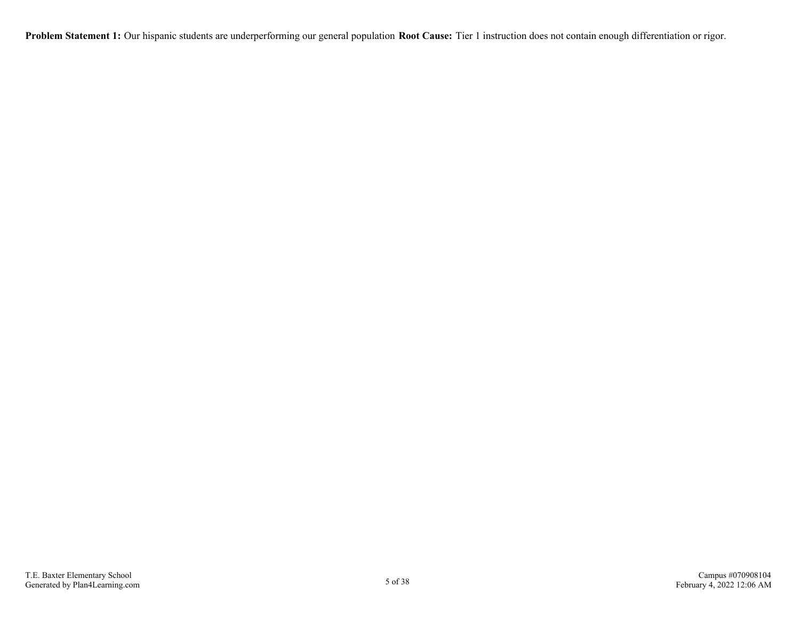**Problem Statement 1:** Our hispanic students are underperforming our general population **Root Cause:** Tier 1 instruction does not contain enough differentiation or rigor.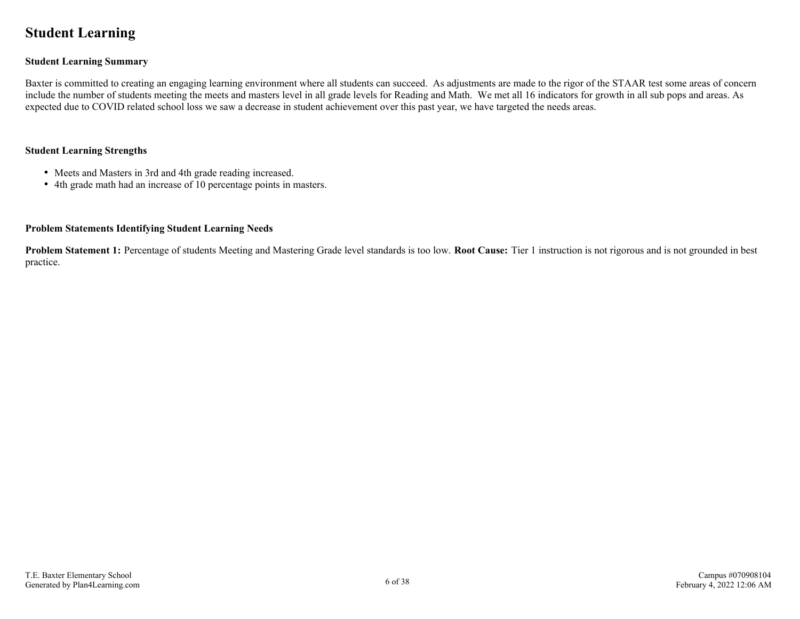### <span id="page-5-0"></span>**Student Learning**

#### **Student Learning Summary**

Baxter is committed to creating an engaging learning environment where all students can succeed. As adjustments are made to the rigor of the STAAR test some areas of concern include the number of students meeting the meets and masters level in all grade levels for Reading and Math. We met all 16 indicators for growth in all sub pops and areas. As expected due to COVID related school loss we saw a decrease in student achievement over this past year, we have targeted the needs areas.

#### **Student Learning Strengths**

- Meets and Masters in 3rd and 4th grade reading increased.
- 4th grade math had an increase of 10 percentage points in masters.

#### **Problem Statements Identifying Student Learning Needs**

**Problem Statement 1:** Percentage of students Meeting and Mastering Grade level standards is too low. **Root Cause:** Tier 1 instruction is not rigorous and is not grounded in best practice.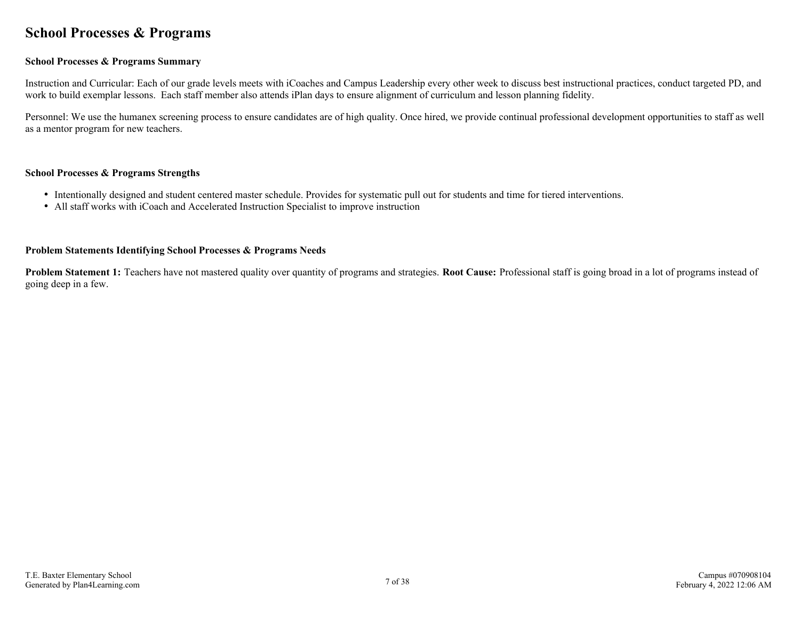### <span id="page-6-0"></span>**School Processes & Programs**

#### **School Processes & Programs Summary**

Instruction and Curricular: Each of our grade levels meets with iCoaches and Campus Leadership every other week to discuss best instructional practices, conduct targeted PD, and work to build exemplar lessons. Each staff member also attends iPlan days to ensure alignment of curriculum and lesson planning fidelity.

Personnel: We use the humanex screening process to ensure candidates are of high quality. Once hired, we provide continual professional development opportunities to staff as well as a mentor program for new teachers.

#### **School Processes & Programs Strengths**

- Intentionally designed and student centered master schedule. Provides for systematic pull out for students and time for tiered interventions.
- All staff works with iCoach and Accelerated Instruction Specialist to improve instruction

#### **Problem Statements Identifying School Processes & Programs Needs**

**Problem Statement 1:** Teachers have not mastered quality over quantity of programs and strategies. **Root Cause:** Professional staff is going broad in a lot of programs instead of going deep in a few.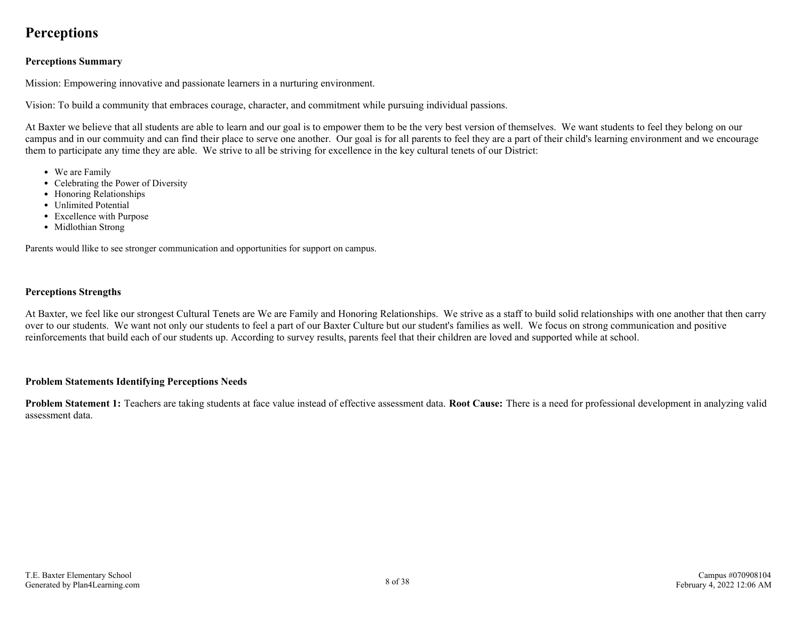### <span id="page-7-0"></span>**Perceptions**

#### **Perceptions Summary**

Mission: Empowering innovative and passionate learners in a nurturing environment.

Vision: To build a community that embraces courage, character, and commitment while pursuing individual passions.

At Baxter we believe that all students are able to learn and our goal is to empower them to be the very best version of themselves. We want students to feel they belong on our campus and in our commuity and can find their place to serve one another. Our goal is for all parents to feel they are a part of their child's learning environment and we encourage them to participate any time they are able. We strive to all be striving for excellence in the key cultural tenets of our District:

- We are Family
- Celebrating the Power of Diversity
- Honoring Relationships
- Unlimited Potential
- Excellence with Purpose
- Midlothian Strong

Parents would llike to see stronger communication and opportunities for support on campus.

#### **Perceptions Strengths**

At Baxter, we feel like our strongest Cultural Tenets are We are Family and Honoring Relationships. We strive as a staff to build solid relationships with one another that then carry over to our students. We want not only our students to feel a part of our Baxter Culture but our student's families as well. We focus on strong communication and positive reinforcements that build each of our students up. According to survey results, parents feel that their children are loved and supported while at school.

#### **Problem Statements Identifying Perceptions Needs**

**Problem Statement 1:** Teachers are taking students at face value instead of effective assessment data. **Root Cause:** There is a need for professional development in analyzing valid assessment data.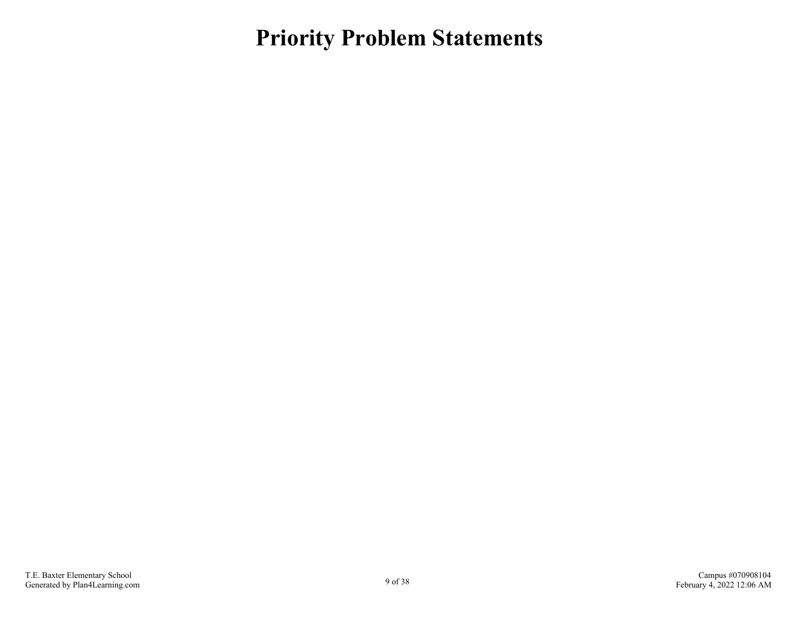<span id="page-8-0"></span>**Priority Problem Statements**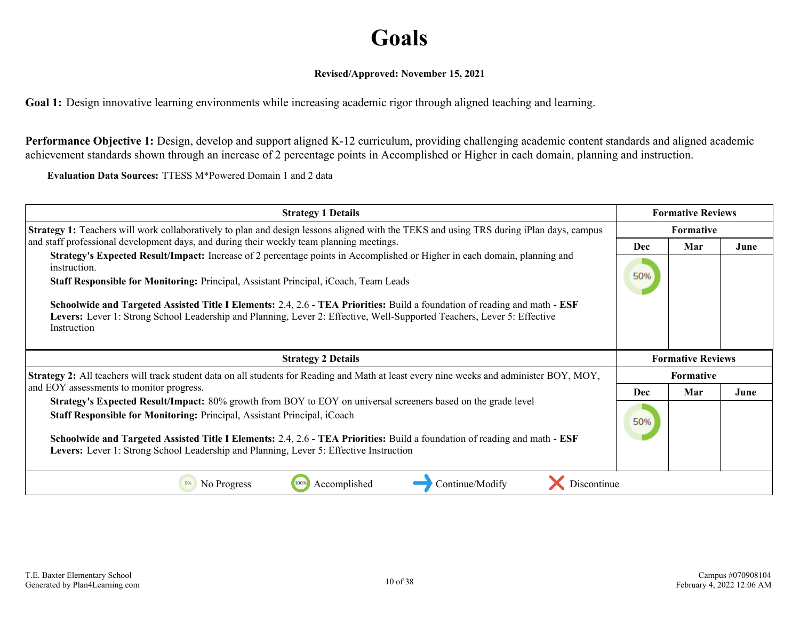# **Goals**

#### **Revised/Approved: November 15, 2021**

<span id="page-9-0"></span>**Goal 1:** Design innovative learning environments while increasing academic rigor through aligned teaching and learning.

**Performance Objective 1:** Design, develop and support aligned K-12 curriculum, providing challenging academic content standards and aligned academic achievement standards shown through an increase of 2 percentage points in Accomplished or Higher in each domain, planning and instruction.

**Evaluation Data Sources:** TTESS M\*Powered Domain 1 and 2 data

| <b>Strategy 1 Details</b>                                                                                                                                                                                                                                            | <b>Formative Reviews</b> |                          |      |
|----------------------------------------------------------------------------------------------------------------------------------------------------------------------------------------------------------------------------------------------------------------------|--------------------------|--------------------------|------|
| <b>Strategy 1:</b> Teachers will work collaboratively to plan and design lessons aligned with the TEKS and using TRS during iPlan days, campus                                                                                                                       | Formative                |                          |      |
| and staff professional development days, and during their weekly team planning meetings.<br>Strategy's Expected Result/Impact: Increase of 2 percentage points in Accomplished or Higher in each domain, planning and                                                | <b>Dec</b>               | Mar                      | June |
| instruction.                                                                                                                                                                                                                                                         |                          |                          |      |
| Staff Responsible for Monitoring: Principal, Assistant Principal, iCoach, Team Leads                                                                                                                                                                                 | 50%                      |                          |      |
| Schoolwide and Targeted Assisted Title I Elements: 2.4, 2.6 - TEA Priorities: Build a foundation of reading and math - ESF<br>Levers: Lever 1: Strong School Leadership and Planning, Lever 2: Effective, Well-Supported Teachers, Lever 5: Effective<br>Instruction |                          |                          |      |
|                                                                                                                                                                                                                                                                      |                          |                          |      |
| <b>Strategy 2 Details</b>                                                                                                                                                                                                                                            |                          | <b>Formative Reviews</b> |      |
| Strategy 2: All teachers will track student data on all students for Reading and Math at least every nine weeks and administer BOY, MOY,                                                                                                                             |                          | Formative                |      |
| and EOY assessments to monitor progress.                                                                                                                                                                                                                             | <b>Dec</b>               | Mar                      | June |
| <b>Strategy's Expected Result/Impact:</b> 80% growth from BOY to EOY on universal screeners based on the grade level<br>Staff Responsible for Monitoring: Principal, Assistant Principal, iCoach                                                                     | 50%                      |                          |      |
| Schoolwide and Targeted Assisted Title I Elements: 2.4, 2.6 - TEA Priorities: Build a foundation of reading and math - ESF                                                                                                                                           |                          |                          |      |
| Levers: Lever 1: Strong School Leadership and Planning, Lever 5: Effective Instruction                                                                                                                                                                               |                          |                          |      |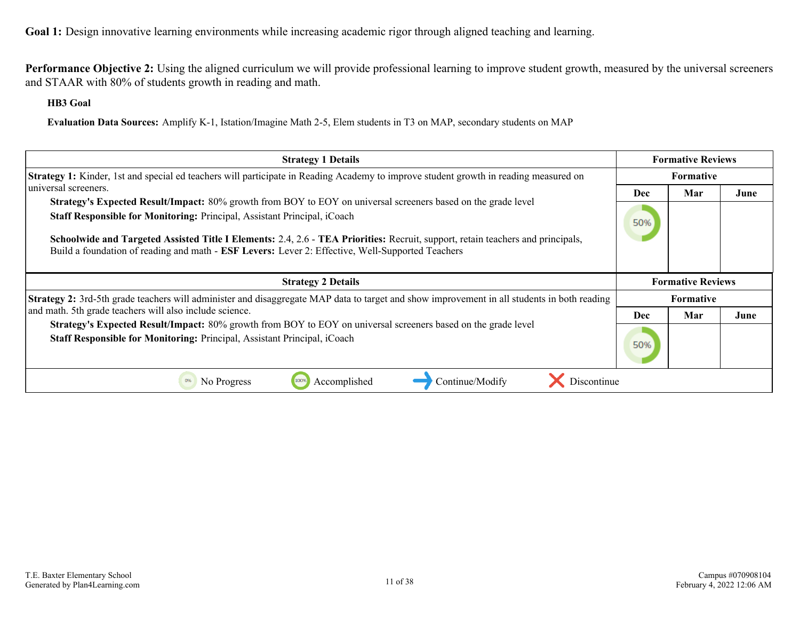**Performance Objective 2:** Using the aligned curriculum we will provide professional learning to improve student growth, measured by the universal screeners and STAAR with 80% of students growth in reading and math.

**HB3 Goal**

**Evaluation Data Sources:** Amplify K-1, Istation/Imagine Math 2-5, Elem students in T3 on MAP, secondary students on MAP

| <b>Strategy 1 Details</b>                                                                                                                                                                                                                                                                                       | <b>Formative Reviews</b> |                          |      |
|-----------------------------------------------------------------------------------------------------------------------------------------------------------------------------------------------------------------------------------------------------------------------------------------------------------------|--------------------------|--------------------------|------|
| <b>Strategy 1:</b> Kinder, 1st and special ed teachers will participate in Reading Academy to improve student growth in reading measured on                                                                                                                                                                     |                          | Formative                |      |
| universal screeners.                                                                                                                                                                                                                                                                                            | <b>Dec</b>               | Mar                      | June |
| Strategy's Expected Result/Impact: 80% growth from BOY to EOY on universal screeners based on the grade level                                                                                                                                                                                                   |                          |                          |      |
| Staff Responsible for Monitoring: Principal, Assistant Principal, iCoach<br>Schoolwide and Targeted Assisted Title I Elements: 2.4, 2.6 - TEA Priorities: Recruit, support, retain teachers and principals,<br>Build a foundation of reading and math - ESF Levers: Lever 2: Effective, Well-Supported Teachers | 50%                      |                          |      |
| <b>Strategy 2 Details</b>                                                                                                                                                                                                                                                                                       |                          | <b>Formative Reviews</b> |      |
| Strategy 2: 3rd-5th grade teachers will administer and disaggregate MAP data to target and show improvement in all students in both reading                                                                                                                                                                     |                          | <b>Formative</b>         |      |
| and math. 5th grade teachers will also include science.                                                                                                                                                                                                                                                         | Dec                      | Mar                      | June |
| Strategy's Expected Result/Impact: 80% growth from BOY to EOY on universal screeners based on the grade level<br>Staff Responsible for Monitoring: Principal, Assistant Principal, iCoach                                                                                                                       | 50%                      |                          |      |
| Accomplished<br>Continue/Modify<br>Discontinue<br>No Progress                                                                                                                                                                                                                                                   |                          |                          |      |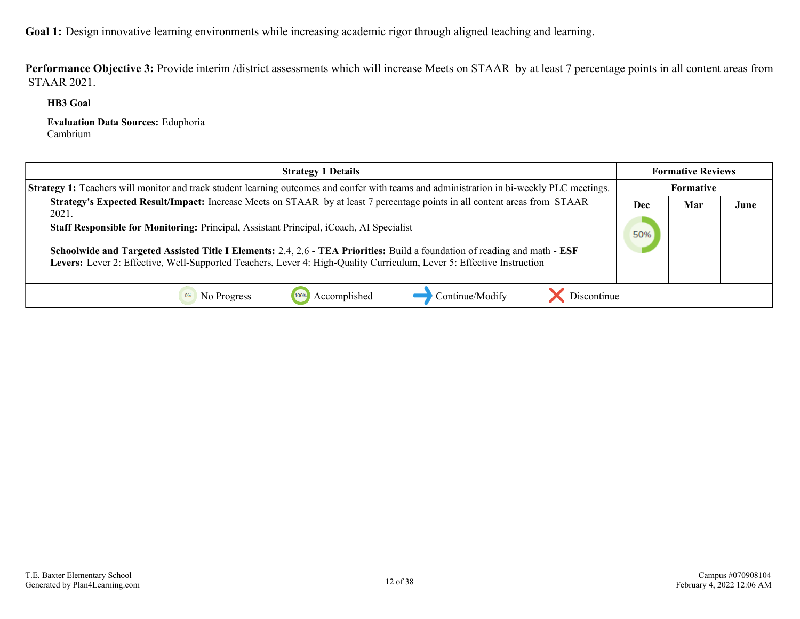Performance Objective 3: Provide interim /district assessments which will increase Meets on STAAR by at least 7 percentage points in all content areas from STAAR 2021.

**HB3 Goal**

**Evaluation Data Sources:** Eduphoria Cambrium

| <b>Strategy 1 Details</b>                                                                                                                                                                                                                                                                                                                               |     | <b>Formative Reviews</b> |      |
|---------------------------------------------------------------------------------------------------------------------------------------------------------------------------------------------------------------------------------------------------------------------------------------------------------------------------------------------------------|-----|--------------------------|------|
| Strategy 1: Teachers will monitor and track student learning outcomes and confer with teams and administration in bi-weekly PLC meetings.                                                                                                                                                                                                               |     | Formative                |      |
| Strategy's Expected Result/Impact: Increase Meets on STAAR by at least 7 percentage points in all content areas from STAAR                                                                                                                                                                                                                              | Dec | Mar                      | June |
| 2021.<br>Staff Responsible for Monitoring: Principal, Assistant Principal, iCoach, AI Specialist<br>Schoolwide and Targeted Assisted Title I Elements: 2.4, 2.6 - TEA Priorities: Build a foundation of reading and math - ESF<br>Levers: Lever 2: Effective, Well-Supported Teachers, Lever 4: High-Quality Curriculum, Lever 5: Effective Instruction | 50% |                          |      |
| Discontinue<br>Continue/Modify<br>No Progress<br>Accomplished                                                                                                                                                                                                                                                                                           |     |                          |      |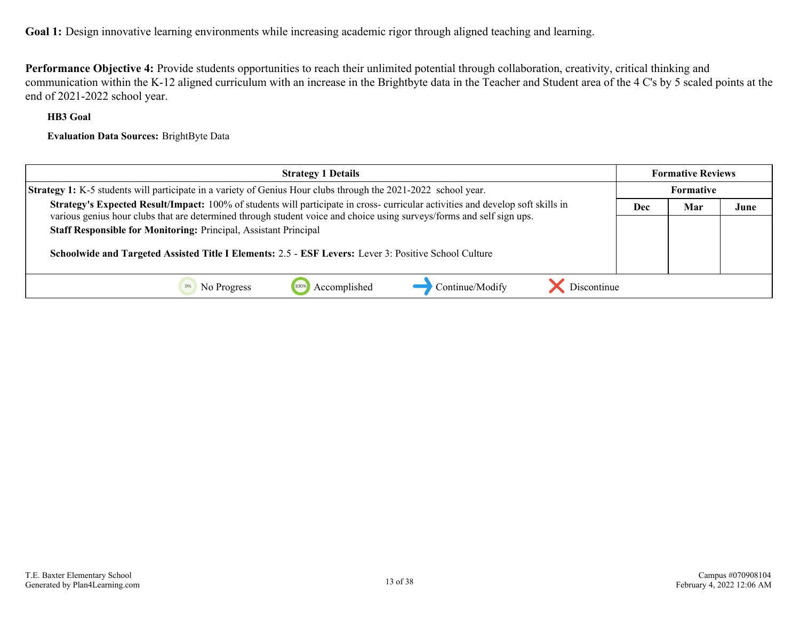**Performance Objective 4:** Provide students opportunities to reach their unlimited potential through collaboration, creativity, critical thinking and communication within the K-12 aligned curriculum with an increase in the Brightbyte data in the Teacher and Student area of the 4 C's by 5 scaled points at the end of 2021-2022 school year.

#### **HB3 Goal**

**Evaluation Data Sources:** BrightByte Data

| <b>Strategy 1 Details</b>                                                                                                                                                                                                                                                                          |     | <b>Formative Reviews</b> |      |
|----------------------------------------------------------------------------------------------------------------------------------------------------------------------------------------------------------------------------------------------------------------------------------------------------|-----|--------------------------|------|
| <b>Strategy 1:</b> K-5 students will participate in a variety of Genius Hour clubs through the 2021-2022 school year.                                                                                                                                                                              |     | <b>Formative</b>         |      |
| Strategy's Expected Result/Impact: 100% of students will participate in cross- curricular activities and develop soft skills in                                                                                                                                                                    | Dec | Mar                      | June |
| various genius hour clubs that are determined through student voice and choice using surveys/forms and self sign ups.<br>Staff Responsible for Monitoring: Principal, Assistant Principal<br>Schoolwide and Targeted Assisted Title I Elements: 2.5 - ESF Levers: Lever 3: Positive School Culture |     |                          |      |
| Discontinue<br>Accomplished<br>Continue/Modify<br>No Progress                                                                                                                                                                                                                                      |     |                          |      |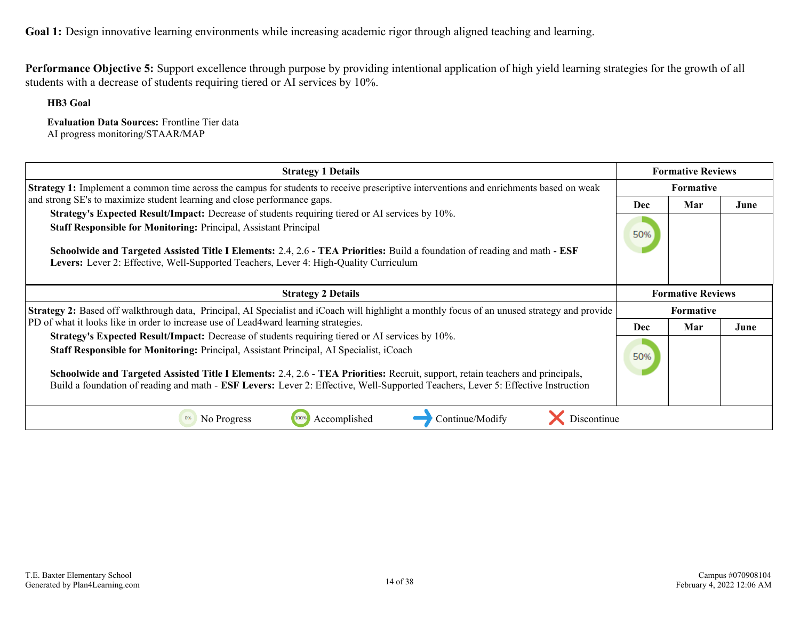**Performance Objective 5:** Support excellence through purpose by providing intentional application of high yield learning strategies for the growth of all students with a decrease of students requiring tiered or AI services by 10%.

**HB3 Goal**

**Evaluation Data Sources:** Frontline Tier data AI progress monitoring/STAAR/MAP

| <b>Strategy 1 Details</b>                                                                                                                                                                                                                                                                                                                                                                                                                                         |     | <b>Formative Reviews</b> |      |
|-------------------------------------------------------------------------------------------------------------------------------------------------------------------------------------------------------------------------------------------------------------------------------------------------------------------------------------------------------------------------------------------------------------------------------------------------------------------|-----|--------------------------|------|
| Strategy 1: Implement a common time across the campus for students to receive prescriptive interventions and enrichments based on weak                                                                                                                                                                                                                                                                                                                            |     | Formative                |      |
| and strong SE's to maximize student learning and close performance gaps.<br>Strategy's Expected Result/Impact: Decrease of students requiring tiered or AI services by 10%.                                                                                                                                                                                                                                                                                       | Dec | Mar                      | June |
| <b>Staff Responsible for Monitoring: Principal, Assistant Principal</b><br>Schoolwide and Targeted Assisted Title I Elements: 2.4, 2.6 - TEA Priorities: Build a foundation of reading and math - ESF<br>Levers: Lever 2: Effective, Well-Supported Teachers, Lever 4: High-Quality Curriculum                                                                                                                                                                    | 50% |                          |      |
| <b>Strategy 2 Details</b>                                                                                                                                                                                                                                                                                                                                                                                                                                         |     | <b>Formative Reviews</b> |      |
| <b>Strategy 2:</b> Based off walkthrough data, Principal, AI Specialist and iCoach will highlight a monthly focus of an unused strategy and provide                                                                                                                                                                                                                                                                                                               |     | <b>Formative</b>         |      |
| PD of what it looks like in order to increase use of Lead4ward learning strategies.                                                                                                                                                                                                                                                                                                                                                                               | Dec | Mar                      | June |
| Strategy's Expected Result/Impact: Decrease of students requiring tiered or AI services by 10%.<br>Staff Responsible for Monitoring: Principal, Assistant Principal, AI Specialist, iCoach<br>Schoolwide and Targeted Assisted Title I Elements: 2.4, 2.6 - TEA Priorities: Recruit, support, retain teachers and principals,<br>Build a foundation of reading and math - ESF Levers: Lever 2: Effective, Well-Supported Teachers, Lever 5: Effective Instruction | 50% |                          |      |
| No Progress<br>Accomplished<br>Discontinue<br>Continue/Modify                                                                                                                                                                                                                                                                                                                                                                                                     |     |                          |      |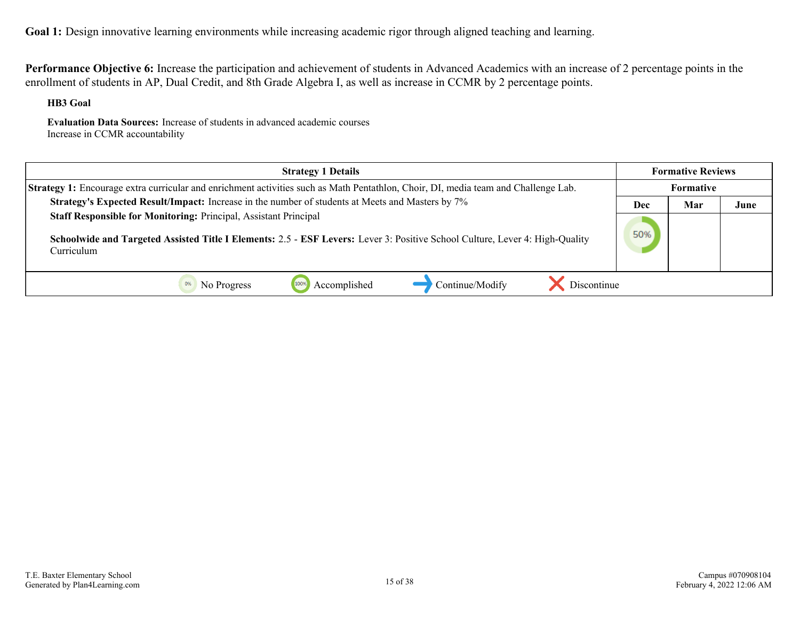**Performance Objective 6:** Increase the participation and achievement of students in Advanced Academics with an increase of 2 percentage points in the enrollment of students in AP, Dual Credit, and 8th Grade Algebra I, as well as increase in CCMR by 2 percentage points.

**HB3 Goal**

**Evaluation Data Sources:** Increase of students in advanced academic courses Increase in CCMR accountability

| <b>Strategy 1 Details</b>                                                                                                                                                                                      |     | <b>Formative Reviews</b> |      |
|----------------------------------------------------------------------------------------------------------------------------------------------------------------------------------------------------------------|-----|--------------------------|------|
| <b>Strategy 1:</b> Encourage extra curricular and enrichment activities such as Math Pentathlon, Choir, DI, media team and Challenge Lab.                                                                      |     | Formative                |      |
| Strategy's Expected Result/Impact: Increase in the number of students at Meets and Masters by 7%                                                                                                               | Dec | Mar                      | June |
| Staff Responsible for Monitoring: Principal, Assistant Principal<br>Schoolwide and Targeted Assisted Title I Elements: 2.5 - ESF Levers: Lever 3: Positive School Culture, Lever 4: High-Quality<br>Curriculum | 50% |                          |      |
| Continue/Modify<br>Discontinue<br>Accomplished<br>No Progress                                                                                                                                                  |     |                          |      |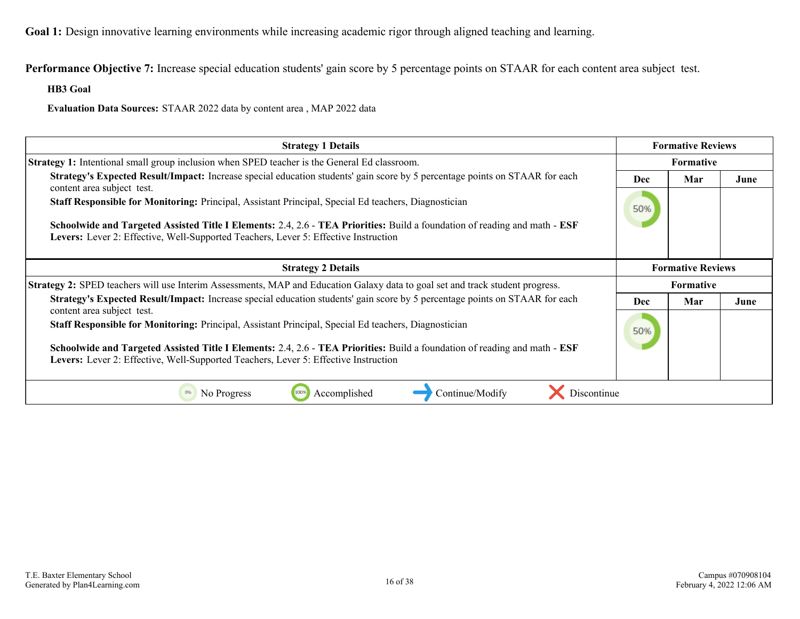**Performance Objective 7:** Increase special education students' gain score by 5 percentage points on STAAR for each content area subject test.

**HB3 Goal**

**Evaluation Data Sources:** STAAR 2022 data by content area , MAP 2022 data

| <b>Strategy 1 Details</b>                                                                                                                                                                                                                                                                                                 | <b>Formative Reviews</b> |                          |      |
|---------------------------------------------------------------------------------------------------------------------------------------------------------------------------------------------------------------------------------------------------------------------------------------------------------------------------|--------------------------|--------------------------|------|
| Strategy 1: Intentional small group inclusion when SPED teacher is the General Ed classroom.                                                                                                                                                                                                                              | Formative                |                          |      |
| <b>Strategy's Expected Result/Impact:</b> Increase special education students' gain score by 5 percentage points on STAAR for each<br>content area subject test.                                                                                                                                                          | Dec                      | Mar                      | June |
| Staff Responsible for Monitoring: Principal, Assistant Principal, Special Ed teachers, Diagnostician                                                                                                                                                                                                                      | 50%                      |                          |      |
| Schoolwide and Targeted Assisted Title I Elements: 2.4, 2.6 - TEA Priorities: Build a foundation of reading and math - ESF<br>Levers: Lever 2: Effective, Well-Supported Teachers, Lever 5: Effective Instruction                                                                                                         |                          |                          |      |
| <b>Strategy 2 Details</b>                                                                                                                                                                                                                                                                                                 |                          | <b>Formative Reviews</b> |      |
| Strategy 2: SPED teachers will use Interim Assessments, MAP and Education Galaxy data to goal set and track student progress.                                                                                                                                                                                             |                          | Formative                |      |
| <b>Strategy's Expected Result/Impact:</b> Increase special education students' gain score by 5 percentage points on STAAR for each<br>content area subject test.                                                                                                                                                          | <b>Dec</b>               | Mar                      | June |
| Staff Responsible for Monitoring: Principal, Assistant Principal, Special Ed teachers, Diagnostician<br>Schoolwide and Targeted Assisted Title I Elements: 2.4, 2.6 - TEA Priorities: Build a foundation of reading and math - ESF<br>Levers: Lever 2: Effective, Well-Supported Teachers, Lever 5: Effective Instruction | 50%                      |                          |      |
| Accomplished<br>Continue/Modify<br>Discontinue<br>0%<br>No Progress<br>100%                                                                                                                                                                                                                                               |                          |                          |      |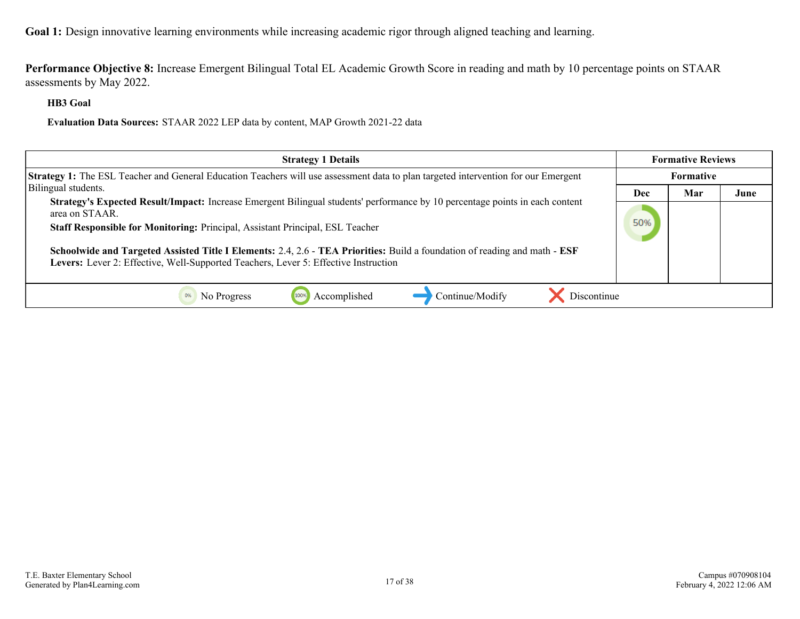**Performance Objective 8:** Increase Emergent Bilingual Total EL Academic Growth Score in reading and math by 10 percentage points on STAAR assessments by May 2022.

**HB3 Goal**

**Evaluation Data Sources:** STAAR 2022 LEP data by content, MAP Growth 2021-22 data

| <b>Strategy 1 Details</b>                                                                                                                                                                                         |     | <b>Formative Reviews</b> |      |
|-------------------------------------------------------------------------------------------------------------------------------------------------------------------------------------------------------------------|-----|--------------------------|------|
| Strategy 1: The ESL Teacher and General Education Teachers will use assessment data to plan targeted intervention for our Emergent                                                                                |     | <b>Formative</b>         |      |
| Bilingual students.                                                                                                                                                                                               | Dec | Mar                      | June |
| Strategy's Expected Result/Impact: Increase Emergent Bilingual students' performance by 10 percentage points in each content<br>area on STAAR.                                                                    | 50% |                          |      |
| Staff Responsible for Monitoring: Principal, Assistant Principal, ESL Teacher                                                                                                                                     |     |                          |      |
| Schoolwide and Targeted Assisted Title I Elements: 2.4, 2.6 - TEA Priorities: Build a foundation of reading and math - ESF<br>Levers: Lever 2: Effective, Well-Supported Teachers, Lever 5: Effective Instruction |     |                          |      |
| Accomplished<br>Continue/Modify<br>Discontinue<br>No Progress                                                                                                                                                     |     |                          |      |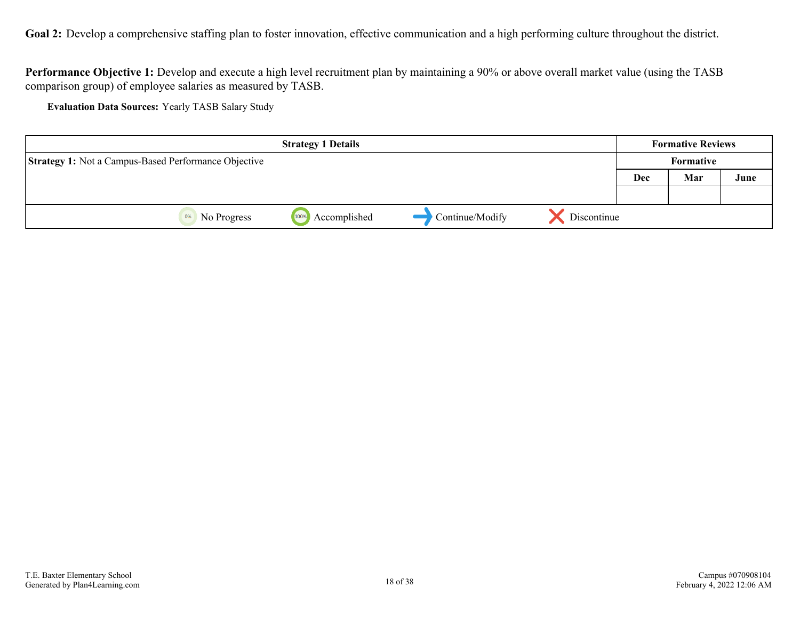<span id="page-17-0"></span>Goal 2: Develop a comprehensive staffing plan to foster innovation, effective communication and a high performing culture throughout the district.

**Performance Objective 1:** Develop and execute a high level recruitment plan by maintaining a 90% or above overall market value (using the TASB comparison group) of employee salaries as measured by TASB.

**Evaluation Data Sources:** Yearly TASB Salary Study

|                                                             | <b>Strategy 1 Details</b> |                 |             | <b>Formative Reviews</b> |           |      |
|-------------------------------------------------------------|---------------------------|-----------------|-------------|--------------------------|-----------|------|
| <b>Strategy 1:</b> Not a Campus-Based Performance Objective |                           |                 |             |                          | Formative |      |
|                                                             |                           |                 |             | <b>Dec</b>               | Mar       | June |
|                                                             |                           |                 |             |                          |           |      |
| 0%<br>No Progress                                           | Accomplished<br>100%      | Continue/Modify | Discontinue |                          |           |      |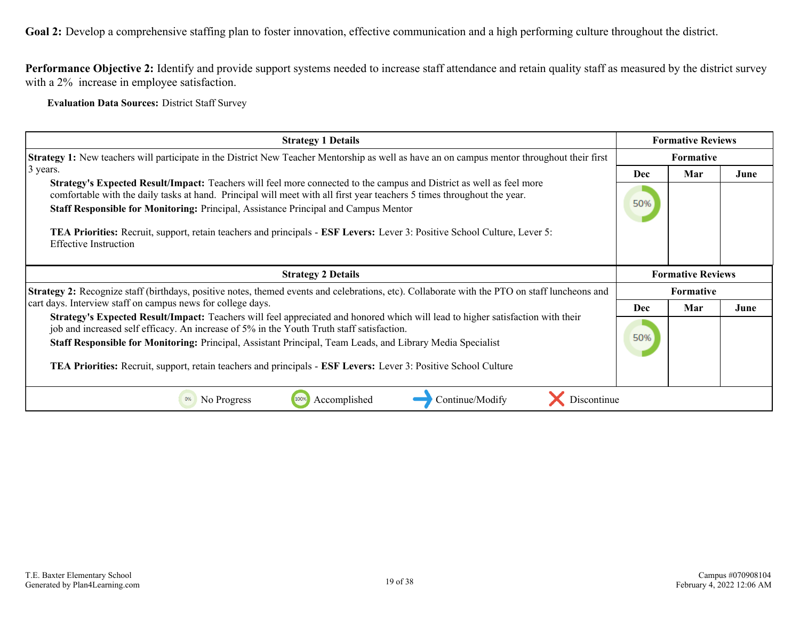**Goal 2:** Develop a comprehensive staffing plan to foster innovation, effective communication and a high performing culture throughout the district.

**Performance Objective 2:** Identify and provide support systems needed to increase staff attendance and retain quality staff as measured by the district survey with a 2% increase in employee satisfaction.

**Evaluation Data Sources:** District Staff Survey

| <b>Strategy 1 Details</b>                                                                                                                                                                                                                              | <b>Formative Reviews</b> |                          |      |
|--------------------------------------------------------------------------------------------------------------------------------------------------------------------------------------------------------------------------------------------------------|--------------------------|--------------------------|------|
| <b>Strategy 1:</b> New teachers will participate in the District New Teacher Mentorship as well as have an on campus mentor throughout their first                                                                                                     | <b>Formative</b>         |                          |      |
| $\beta$ years.                                                                                                                                                                                                                                         | <b>Dec</b>               | Mar                      | June |
| <b>Strategy's Expected Result/Impact:</b> Teachers will feel more connected to the campus and District as well as feel more<br>comfortable with the daily tasks at hand. Principal will meet with all first year teachers 5 times throughout the year. |                          |                          |      |
| Staff Responsible for Monitoring: Principal, Assistance Principal and Campus Mentor                                                                                                                                                                    | 50%                      |                          |      |
| <b>TEA Priorities:</b> Recruit, support, retain teachers and principals - <b>ESF Levers:</b> Lever 3: Positive School Culture, Lever 5:<br><b>Effective Instruction</b>                                                                                |                          |                          |      |
| <b>Strategy 2 Details</b>                                                                                                                                                                                                                              |                          | <b>Formative Reviews</b> |      |
| <b>Strategy 2:</b> Recognize staff (birthdays, positive notes, themed events and celebrations, etc). Collaborate with the PTO on staff luncheons and                                                                                                   |                          | <b>Formative</b>         |      |
| cart days. Interview staff on campus news for college days.                                                                                                                                                                                            | <b>Dec</b>               | Mar                      | June |
| Strategy's Expected Result/Impact: Teachers will feel appreciated and honored which will lead to higher satisfaction with their<br>job and increased self efficacy. An increase of 5% in the Youth Truth staff satisfaction.                           |                          |                          |      |
| Staff Responsible for Monitoring: Principal, Assistant Principal, Team Leads, and Library Media Specialist                                                                                                                                             | 50%                      |                          |      |
| <b>TEA Priorities:</b> Recruit, support, retain teachers and principals - <b>ESF Levers:</b> Lever 3: Positive School Culture                                                                                                                          |                          |                          |      |
| No Progress<br>Accomplished<br>Continue/Modify<br>Discontinue                                                                                                                                                                                          |                          |                          |      |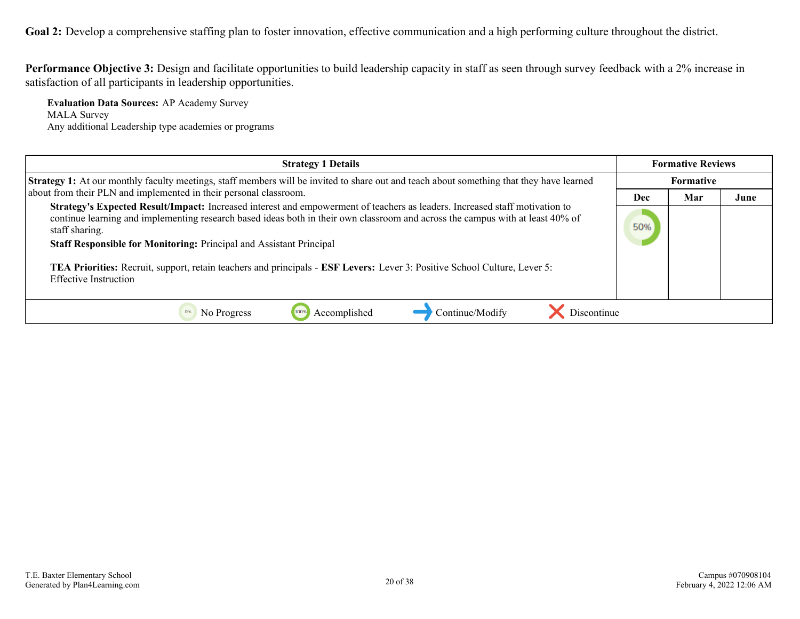Goal 2: Develop a comprehensive staffing plan to foster innovation, effective communication and a high performing culture throughout the district.

**Performance Objective 3:** Design and facilitate opportunities to build leadership capacity in staff as seen through survey feedback with a 2% increase in satisfaction of all participants in leadership opportunities.

**Evaluation Data Sources:** AP Academy Survey MALA Survey Any additional Leadership type academies or programs

| <b>Strategy 1 Details</b>                                                                                                                                                                                                                                                                                                                                                                                                                                                                                           |     | <b>Formative Reviews</b> |      |
|---------------------------------------------------------------------------------------------------------------------------------------------------------------------------------------------------------------------------------------------------------------------------------------------------------------------------------------------------------------------------------------------------------------------------------------------------------------------------------------------------------------------|-----|--------------------------|------|
| <b>Strategy 1:</b> At our monthly faculty meetings, staff members will be invited to share out and teach about something that they have learned                                                                                                                                                                                                                                                                                                                                                                     |     | Formative                |      |
| about from their PLN and implemented in their personal classroom.                                                                                                                                                                                                                                                                                                                                                                                                                                                   | Dec | Mar                      | June |
| Strategy's Expected Result/Impact: Increased interest and empowerment of teachers as leaders. Increased staff motivation to<br>continue learning and implementing research based ideas both in their own classroom and across the campus with at least 40% of<br>staff sharing.<br>Staff Responsible for Monitoring: Principal and Assistant Principal<br>TEA Priorities: Recruit, support, retain teachers and principals - ESF Levers: Lever 3: Positive School Culture, Lever 5:<br><b>Effective Instruction</b> | 50% |                          |      |
| Accomplished<br>Continue/Modify<br>Discontinue<br>No Progress                                                                                                                                                                                                                                                                                                                                                                                                                                                       |     |                          |      |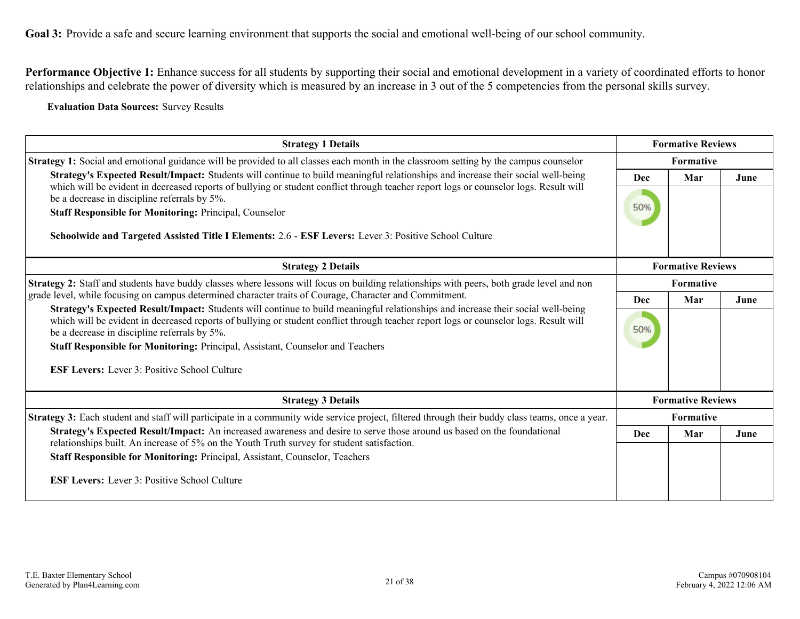<span id="page-20-0"></span>Performance Objective 1: Enhance success for all students by supporting their social and emotional development in a variety of coordinated efforts to honor relationships and celebrate the power of diversity which is measured by an increase in 3 out of the 5 competencies from the personal skills survey.

**Evaluation Data Sources:** Survey Results

| <b>Strategy 1 Details</b>                                                                                                                                                                                                                                                                                                                                                                                                                                                                           | <b>Formative Reviews</b> |                          |      |
|-----------------------------------------------------------------------------------------------------------------------------------------------------------------------------------------------------------------------------------------------------------------------------------------------------------------------------------------------------------------------------------------------------------------------------------------------------------------------------------------------------|--------------------------|--------------------------|------|
| <b>Strategy 1:</b> Social and emotional guidance will be provided to all classes each month in the classroom setting by the campus counselor                                                                                                                                                                                                                                                                                                                                                        | Formative                |                          |      |
| Strategy's Expected Result/Impact: Students will continue to build meaningful relationships and increase their social well-being<br>which will be evident in decreased reports of bullying or student conflict through teacher report logs or counselor logs. Result will<br>be a decrease in discipline referrals by 5%.<br><b>Staff Responsible for Monitoring: Principal, Counselor</b><br>Schoolwide and Targeted Assisted Title I Elements: 2.6 - ESF Levers: Lever 3: Positive School Culture | Dec<br>50%               | Mar                      | June |
| <b>Strategy 2 Details</b>                                                                                                                                                                                                                                                                                                                                                                                                                                                                           |                          | <b>Formative Reviews</b> |      |
| Strategy 2: Staff and students have buddy classes where lessons will focus on building relationships with peers, both grade level and non                                                                                                                                                                                                                                                                                                                                                           |                          | Formative                |      |
| grade level, while focusing on campus determined character traits of Courage, Character and Commitment.                                                                                                                                                                                                                                                                                                                                                                                             |                          | Mar                      | June |
| Strategy's Expected Result/Impact: Students will continue to build meaningful relationships and increase their social well-being<br>which will be evident in decreased reports of bullying or student conflict through teacher report logs or counselor logs. Result will<br>be a decrease in discipline referrals by 5%.                                                                                                                                                                           | 50%                      |                          |      |
| Staff Responsible for Monitoring: Principal, Assistant, Counselor and Teachers                                                                                                                                                                                                                                                                                                                                                                                                                      |                          |                          |      |
| <b>ESF Levers:</b> Lever 3: Positive School Culture                                                                                                                                                                                                                                                                                                                                                                                                                                                 |                          |                          |      |
| <b>Strategy 3 Details</b>                                                                                                                                                                                                                                                                                                                                                                                                                                                                           |                          | <b>Formative Reviews</b> |      |
| Strategy 3: Each student and staff will participate in a community wide service project, filtered through their buddy class teams, once a year.                                                                                                                                                                                                                                                                                                                                                     | <b>Formative</b>         |                          |      |
| Strategy's Expected Result/Impact: An increased awareness and desire to serve those around us based on the foundational<br>relationships built. An increase of 5% on the Youth Truth survey for student satisfaction.                                                                                                                                                                                                                                                                               | <b>Dec</b>               | Mar                      | June |
| Staff Responsible for Monitoring: Principal, Assistant, Counselor, Teachers                                                                                                                                                                                                                                                                                                                                                                                                                         |                          |                          |      |
| <b>ESF Levers:</b> Lever 3: Positive School Culture                                                                                                                                                                                                                                                                                                                                                                                                                                                 |                          |                          |      |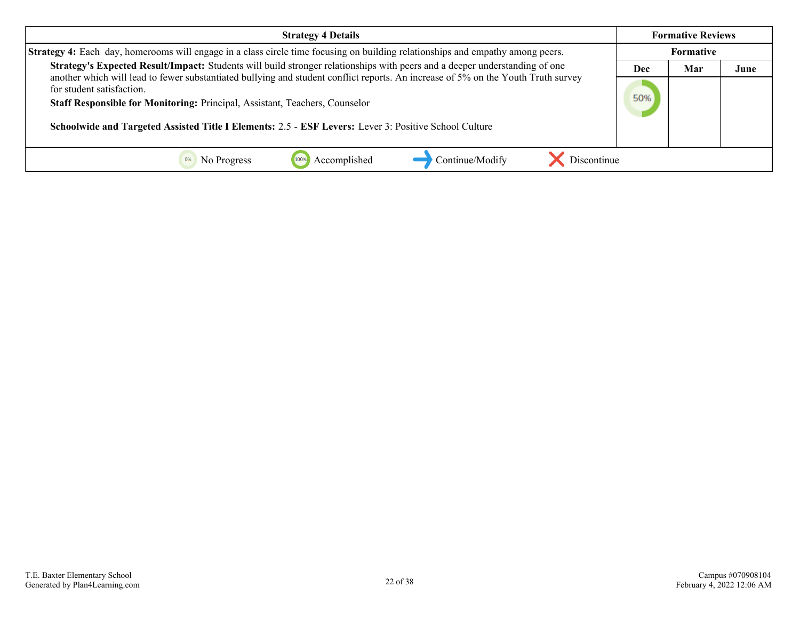| <b>Strategy 4 Details</b>                                                                                                                                                                                                                                                                                                                              |     | <b>Formative Reviews</b> |      |
|--------------------------------------------------------------------------------------------------------------------------------------------------------------------------------------------------------------------------------------------------------------------------------------------------------------------------------------------------------|-----|--------------------------|------|
| <b>Strategy 4:</b> Each day, homerooms will engage in a class circle time focusing on building relationships and empathy among peers.                                                                                                                                                                                                                  |     | Formative                |      |
| Strategy's Expected Result/Impact: Students will build stronger relationships with peers and a deeper understanding of one                                                                                                                                                                                                                             |     | Mar                      | June |
| another which will lead to fewer substantiated bullying and student conflict reports. An increase of 5% on the Youth Truth survey<br>for student satisfaction.<br>Staff Responsible for Monitoring: Principal, Assistant, Teachers, Counselor<br>Schoolwide and Targeted Assisted Title I Elements: 2.5 - ESF Levers: Lever 3: Positive School Culture | 50% |                          |      |
| Accomplished<br>Continue/Modify<br>No Progress<br><b>Discontinue</b>                                                                                                                                                                                                                                                                                   |     |                          |      |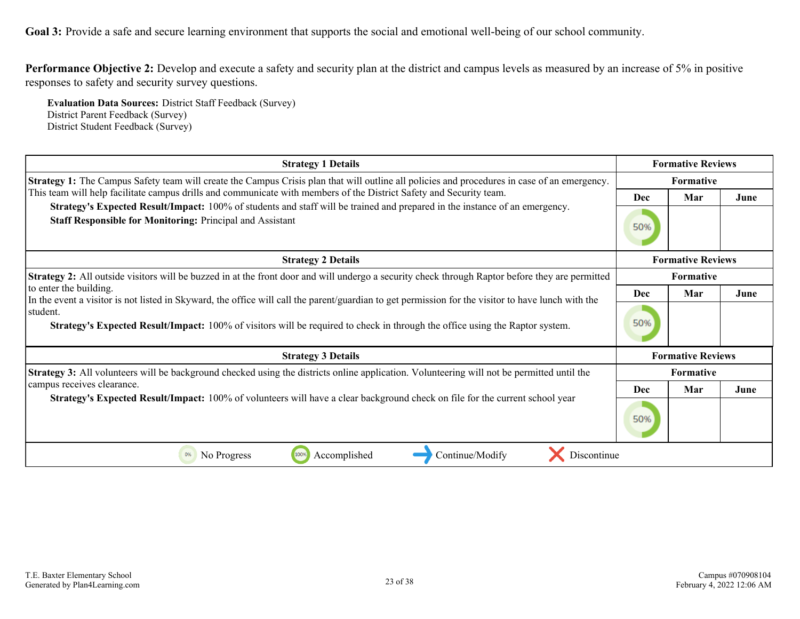**Performance Objective 2:** Develop and execute a safety and security plan at the district and campus levels as measured by an increase of 5% in positive responses to safety and security survey questions.

**Evaluation Data Sources:** District Staff Feedback (Survey) District Parent Feedback (Survey) District Student Feedback (Survey)

| <b>Strategy 1 Details</b>                                                                                                                                                                       |                  | <b>Formative Reviews</b> |      |  |
|-------------------------------------------------------------------------------------------------------------------------------------------------------------------------------------------------|------------------|--------------------------|------|--|
| <b>Strategy 1:</b> The Campus Safety team will create the Campus Crisis plan that will outline all policies and procedures in case of an emergency.                                             | <b>Formative</b> |                          |      |  |
| This team will help facilitate campus drills and communicate with members of the District Safety and Security team.                                                                             |                  | Mar                      | June |  |
| Strategy's Expected Result/Impact: 100% of students and staff will be trained and prepared in the instance of an emergency.<br><b>Staff Responsible for Monitoring: Principal and Assistant</b> | 50%              |                          |      |  |
| <b>Strategy 2 Details</b>                                                                                                                                                                       |                  | <b>Formative Reviews</b> |      |  |
| <b>Strategy 2:</b> All outside visitors will be buzzed in at the front door and will undergo a security check through Raptor before they are permitted                                          |                  | <b>Formative</b>         |      |  |
| to enter the building.<br>In the event a visitor is not listed in Skyward, the office will call the parent/guardian to get permission for the visitor to have lunch with the                    |                  | Mar                      | June |  |
| student.<br><b>Strategy's Expected Result/Impact:</b> 100% of visitors will be required to check in through the office using the Raptor system.                                                 | 50%              |                          |      |  |
| <b>Strategy 3 Details</b>                                                                                                                                                                       |                  | <b>Formative Reviews</b> |      |  |
| <b>Strategy 3:</b> All volunteers will be background checked using the districts online application. Volunteering will not be permitted until the                                               |                  | <b>Formative</b>         |      |  |
| campus receives clearance.                                                                                                                                                                      | Dec              | Mar                      | June |  |
| <b>Strategy's Expected Result/Impact:</b> 100% of volunteers will have a clear background check on file for the current school year                                                             | 50%              |                          |      |  |
| 1009<br>0%<br>No Progress<br>Accomplished<br>Continue/Modify<br>Discontinue                                                                                                                     |                  |                          |      |  |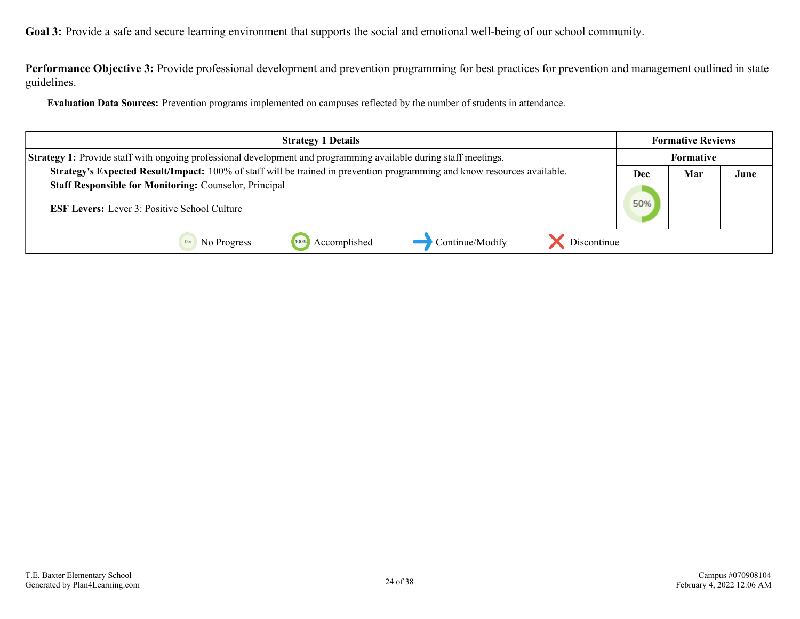**Performance Objective 3:** Provide professional development and prevention programming for best practices for prevention and management outlined in state guidelines.

**Evaluation Data Sources:** Prevention programs implemented on campuses reflected by the number of students in attendance.

| <b>Strategy 1 Details</b>                                                                                                |  | <b>Formative Reviews</b> |      |  |
|--------------------------------------------------------------------------------------------------------------------------|--|--------------------------|------|--|
| <b>Strategy 1:</b> Provide staff with ongoing professional development and programming available during staff meetings.  |  | <b>Formative</b>         |      |  |
| Strategy's Expected Result/Impact: 100% of staff will be trained in prevention programming and know resources available. |  | Mar                      | June |  |
| <b>Staff Responsible for Monitoring: Counselor, Principal</b>                                                            |  |                          |      |  |
| <b>ESF Levers:</b> Lever 3: Positive School Culture                                                                      |  |                          |      |  |
| Discontinue<br>Accomplished<br>Continue/Modify<br>1009<br>No Progress                                                    |  |                          |      |  |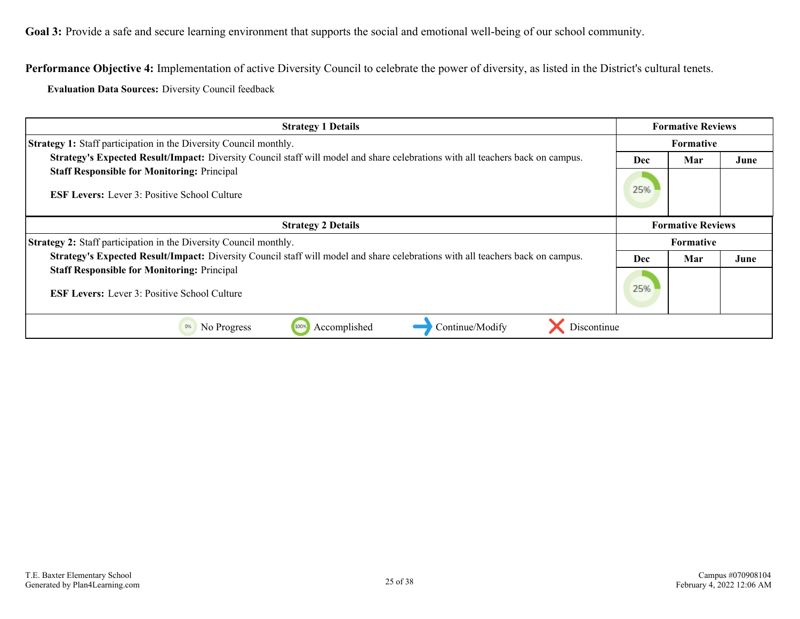**Performance Objective 4:** Implementation of active Diversity Council to celebrate the power of diversity, as listed in the District's cultural tenets.

**Evaluation Data Sources:** Diversity Council feedback

| <b>Strategy 1 Details</b>                                                                                                      |     | <b>Formative Reviews</b> |      |
|--------------------------------------------------------------------------------------------------------------------------------|-----|--------------------------|------|
| <b>Strategy 1:</b> Staff participation in the Diversity Council monthly.                                                       |     | <b>Formative</b>         |      |
| Strategy's Expected Result/Impact: Diversity Council staff will model and share celebrations with all teachers back on campus. | Dec | Mar                      | June |
| <b>Staff Responsible for Monitoring: Principal</b>                                                                             |     |                          |      |
| <b>ESF Levers:</b> Lever 3: Positive School Culture                                                                            | 25% |                          |      |
| <b>Strategy 2 Details</b>                                                                                                      |     | <b>Formative Reviews</b> |      |
| <b>Strategy 2:</b> Staff participation in the Diversity Council monthly.                                                       |     | <b>Formative</b>         |      |
| Strategy's Expected Result/Impact: Diversity Council staff will model and share celebrations with all teachers back on campus. | Dec | Mar                      | June |
| <b>Staff Responsible for Monitoring: Principal</b><br><b>ESF Levers:</b> Lever 3: Positive School Culture                      | 25% |                          |      |
| Continue/Modify<br>Discontinue<br>Accomplished<br>No Progress<br>0%<br>100%                                                    |     |                          |      |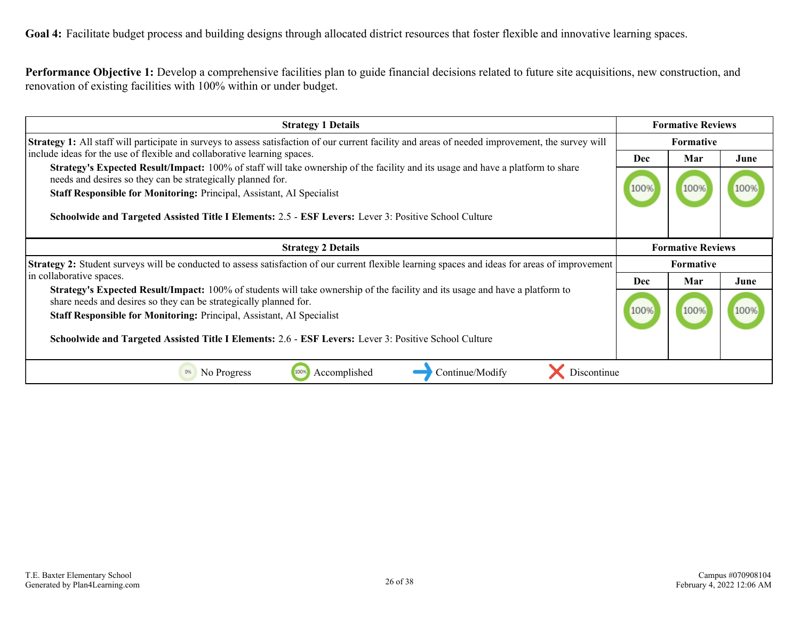<span id="page-25-0"></span>Goal 4: Facilitate budget process and building designs through allocated district resources that foster flexible and innovative learning spaces.

**Performance Objective 1:** Develop a comprehensive facilities plan to guide financial decisions related to future site acquisitions, new construction, and renovation of existing facilities with 100% within or under budget.

| <b>Strategy 1 Details</b>                                                                                                                                                                                                                                                                                                                                         |                  | <b>Formative Reviews</b> |      |  |
|-------------------------------------------------------------------------------------------------------------------------------------------------------------------------------------------------------------------------------------------------------------------------------------------------------------------------------------------------------------------|------------------|--------------------------|------|--|
| <b>Strategy 1:</b> All staff will participate in surveys to assess satisfaction of our current facility and areas of needed improvement, the survey will                                                                                                                                                                                                          | <b>Formative</b> |                          |      |  |
| include ideas for the use of flexible and collaborative learning spaces.<br><b>Strategy's Expected Result/Impact:</b> 100% of staff will take ownership of the facility and its usage and have a platform to share<br>needs and desires so they can be strategically planned for.<br><b>Staff Responsible for Monitoring: Principal, Assistant, AI Specialist</b> |                  | Mar                      | June |  |
|                                                                                                                                                                                                                                                                                                                                                                   |                  |                          |      |  |
|                                                                                                                                                                                                                                                                                                                                                                   |                  | 1009                     |      |  |
| Schoolwide and Targeted Assisted Title I Elements: 2.5 - ESF Levers: Lever 3: Positive School Culture                                                                                                                                                                                                                                                             |                  |                          |      |  |
| <b>Strategy 2 Details</b>                                                                                                                                                                                                                                                                                                                                         |                  | <b>Formative Reviews</b> |      |  |
| Strategy 2: Student surveys will be conducted to assess satisfaction of our current flexible learning spaces and ideas for areas of improvement                                                                                                                                                                                                                   | <b>Formative</b> |                          |      |  |
| in collaborative spaces.                                                                                                                                                                                                                                                                                                                                          | <b>Dec</b>       | Mar                      | June |  |
| <b>Strategy's Expected Result/Impact:</b> 100% of students will take ownership of the facility and its usage and have a platform to<br>share needs and desires so they can be strategically planned for.                                                                                                                                                          |                  |                          |      |  |
| Staff Responsible for Monitoring: Principal, Assistant, AI Specialist                                                                                                                                                                                                                                                                                             |                  | 1009                     |      |  |
| Schoolwide and Targeted Assisted Title I Elements: 2.6 - ESF Levers: Lever 3: Positive School Culture                                                                                                                                                                                                                                                             |                  |                          |      |  |
| Accomplished<br>No Progress<br>100%<br>Discontinue<br>Continue/Modify                                                                                                                                                                                                                                                                                             |                  |                          |      |  |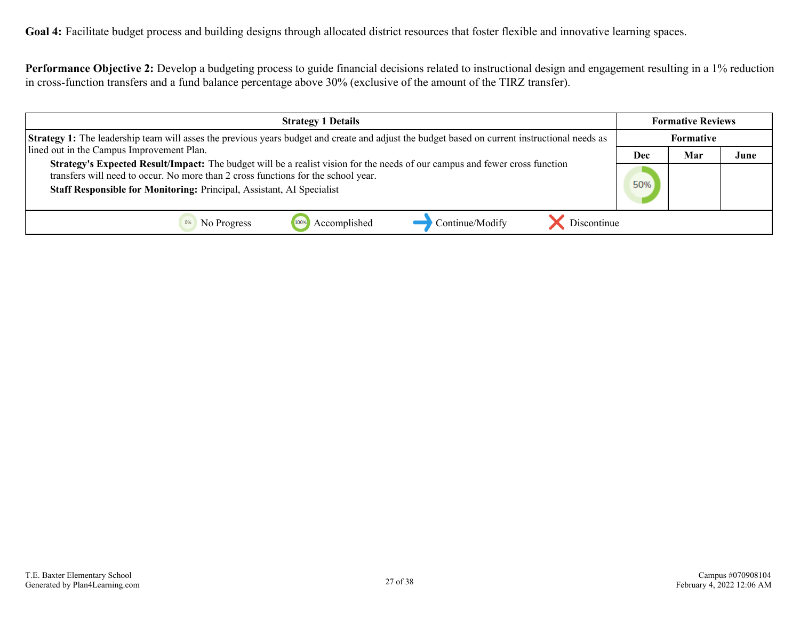**Performance Objective 2:** Develop a budgeting process to guide financial decisions related to instructional design and engagement resulting in a 1% reduction in cross-function transfers and a fund balance percentage above 30% (exclusive of the amount of the TIRZ transfer).

| <b>Strategy 1 Details</b>                                                                                                                                                                                                                                                                 |     | <b>Formative Reviews</b> |      |
|-------------------------------------------------------------------------------------------------------------------------------------------------------------------------------------------------------------------------------------------------------------------------------------------|-----|--------------------------|------|
| <b>Strategy 1:</b> The leadership team will asses the previous years budget and create and adjust the budget based on current instructional needs as                                                                                                                                      |     | Formative                |      |
| lined out in the Campus Improvement Plan.                                                                                                                                                                                                                                                 | Dec | Mar                      | June |
| Strategy's Expected Result/Impact: The budget will be a realist vision for the needs of our campus and fewer cross function<br>transfers will need to occur. No more than 2 cross functions for the school year.<br>Staff Responsible for Monitoring: Principal, Assistant, AI Specialist |     |                          |      |
| Continue/Modify<br>Discontinue<br>Accomplished<br>No Progress                                                                                                                                                                                                                             |     |                          |      |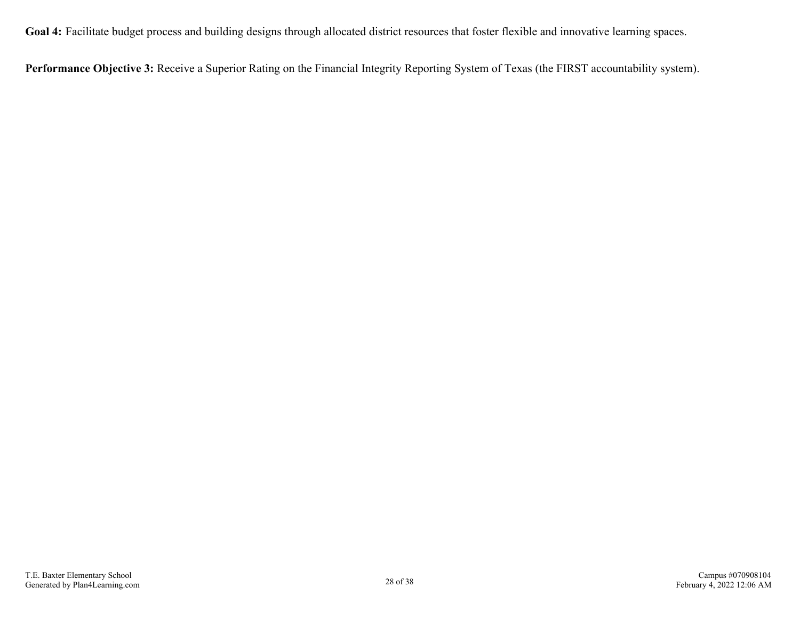**Goal 4:** Facilitate budget process and building designs through allocated district resources that foster flexible and innovative learning spaces.

**Performance Objective 3:** Receive a Superior Rating on the Financial Integrity Reporting System of Texas (the FIRST accountability system).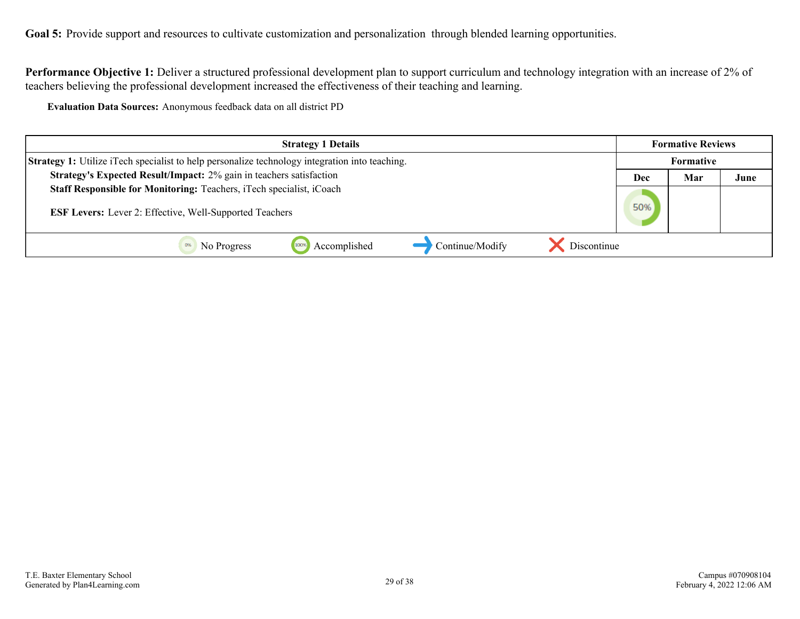<span id="page-28-0"></span>Goal 5: Provide support and resources to cultivate customization and personalization through blended learning opportunities.

**Performance Objective 1:** Deliver a structured professional development plan to support curriculum and technology integration with an increase of 2% of teachers believing the professional development increased the effectiveness of their teaching and learning.

**Evaluation Data Sources:** Anonymous feedback data on all district PD

| <b>Strategy 1 Details</b>                                                                             |            | <b>Formative Reviews</b> |      |
|-------------------------------------------------------------------------------------------------------|------------|--------------------------|------|
| <b>Strategy 1:</b> Utilize iTech specialist to help personalize technology integration into teaching. |            | <b>Formative</b>         |      |
| Strategy's Expected Result/Impact: 2% gain in teachers satisfaction                                   | Mar<br>Dec |                          | June |
| Staff Responsible for Monitoring: Teachers, iTech specialist, iCoach                                  |            |                          |      |
| <b>ESF Levers:</b> Lever 2: Effective, Well-Supported Teachers                                        |            |                          |      |
| Accomplished<br>Continue/Modify<br>Discontinue<br>1009<br>No Progress                                 |            |                          |      |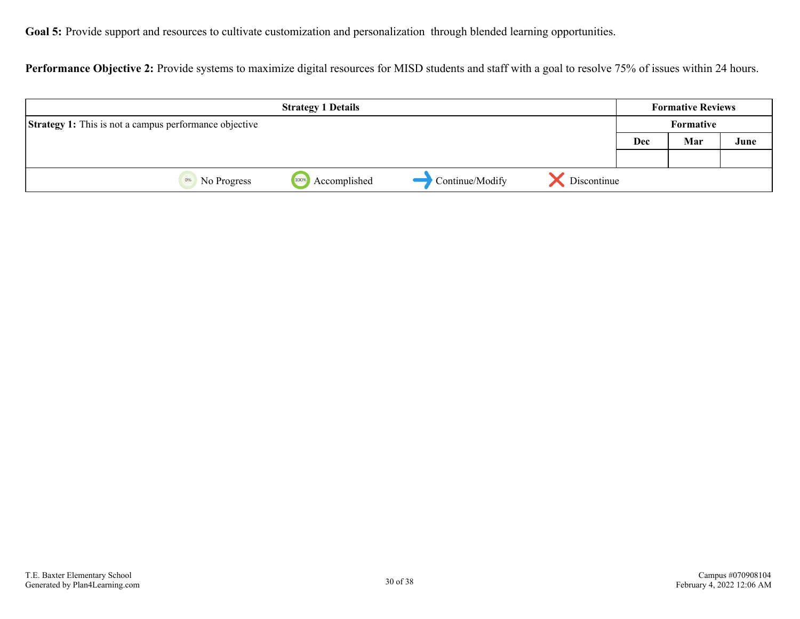Goal 5: Provide support and resources to cultivate customization and personalization through blended learning opportunities.

Performance Objective 2: Provide systems to maximize digital resources for MISD students and staff with a goal to resolve 75% of issues within 24 hours.

|                                                               | <b>Strategy 1 Details</b> |                 |             |     | <b>Formative Reviews</b> |      |
|---------------------------------------------------------------|---------------------------|-----------------|-------------|-----|--------------------------|------|
| <b>Strategy 1:</b> This is not a campus performance objective |                           |                 |             |     | Formative                |      |
|                                                               |                           |                 |             | Dec | Mar                      | June |
|                                                               |                           |                 |             |     |                          |      |
| No Progress<br>0%                                             | Accomplished<br>100%      | Continue/Modify | Discontinue |     |                          |      |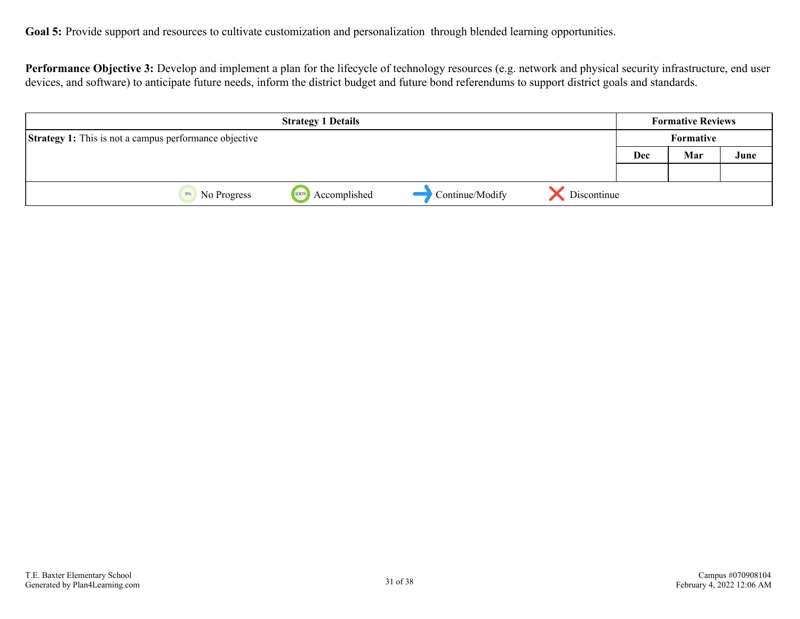Performance Objective 3: Develop and implement a plan for the lifecycle of technology resources (e.g. network and physical security infrastructure, end user devices, and software) to anticipate future needs, inform the district budget and future bond referendums to support district goals and standards.

|                                                               | <b>Strategy 1 Details</b> |                 |             |     | <b>Formative Reviews</b> |      |
|---------------------------------------------------------------|---------------------------|-----------------|-------------|-----|--------------------------|------|
| <b>Strategy 1:</b> This is not a campus performance objective |                           |                 |             |     |                          |      |
|                                                               |                           |                 |             | Dec | Mar                      | June |
|                                                               |                           |                 |             |     |                          |      |
| 0%<br>No Progress                                             | Accomplished<br>100%      | Continue/Modify | Discontinue |     |                          |      |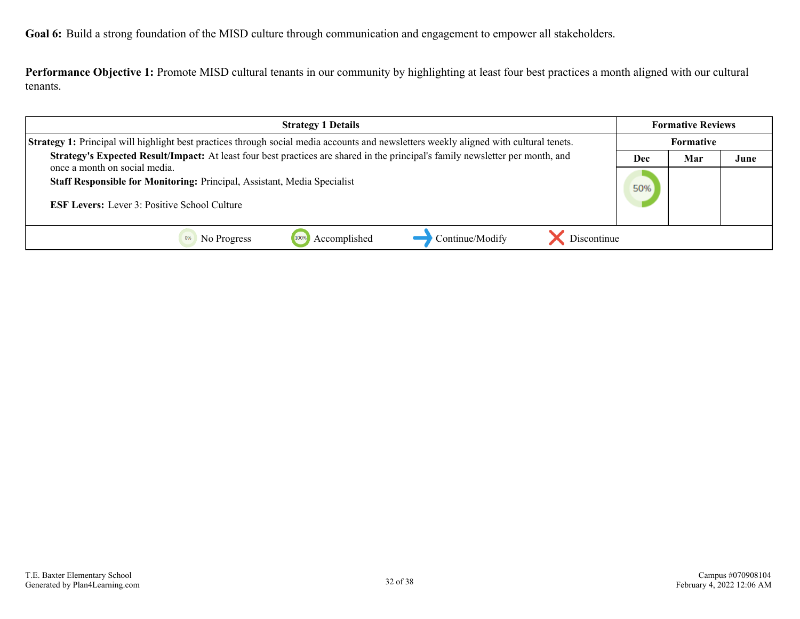<span id="page-31-0"></span>**Goal 6:** Build a strong foundation of the MISD culture through communication and engagement to empower all stakeholders.

**Performance Objective 1:** Promote MISD cultural tenants in our community by highlighting at least four best practices a month aligned with our cultural tenants.

| <b>Strategy 1 Details</b>                                                                                                                                        |     | <b>Formative Reviews</b> |      |
|------------------------------------------------------------------------------------------------------------------------------------------------------------------|-----|--------------------------|------|
| Strategy 1: Principal will highlight best practices through social media accounts and newsletters weekly aligned with cultural tenets.                           |     | Formative                |      |
| Strategy's Expected Result/Impact: At least four best practices are shared in the principal's family newsletter per month, and                                   | Dec | Mar                      | June |
| once a month on social media.<br>Staff Responsible for Monitoring: Principal, Assistant, Media Specialist<br><b>ESF Levers:</b> Lever 3: Positive School Culture |     |                          |      |
| Continue/Modify<br>Discontinue<br>Accomplished<br>No Progress                                                                                                    |     |                          |      |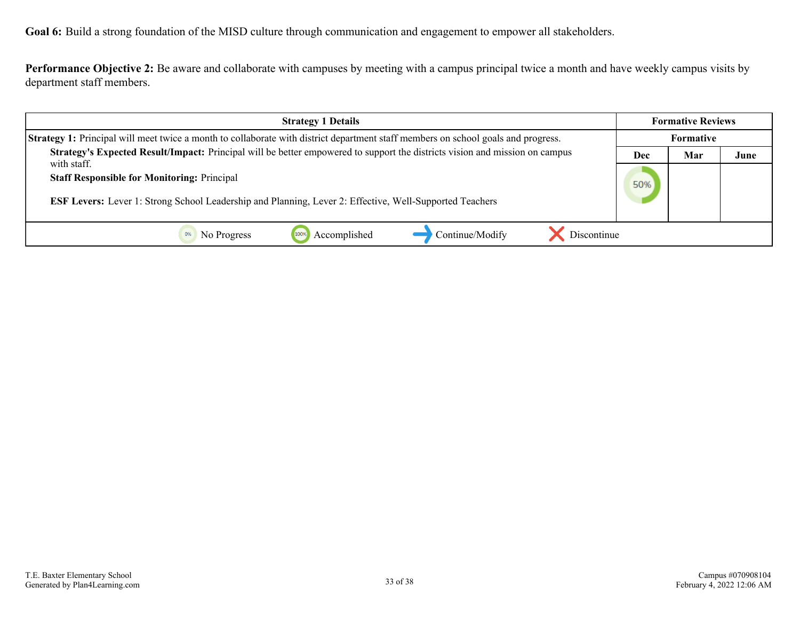**Goal 6:** Build a strong foundation of the MISD culture through communication and engagement to empower all stakeholders.

**Performance Objective 2:** Be aware and collaborate with campuses by meeting with a campus principal twice a month and have weekly campus visits by department staff members.

| <b>Strategy 1 Details</b>                                                                                                                                                           |  | <b>Formative Reviews</b> |      |
|-------------------------------------------------------------------------------------------------------------------------------------------------------------------------------------|--|--------------------------|------|
| <b>Strategy 1:</b> Principal will meet twice a month to collaborate with district department staff members on school goals and progress.                                            |  | <b>Formative</b>         |      |
| Strategy's Expected Result/Impact: Principal will be better empowered to support the districts vision and mission on campus                                                         |  | Mar                      | June |
| with staff.<br><b>Staff Responsible for Monitoring: Principal</b><br><b>ESF Levers:</b> Lever 1: Strong School Leadership and Planning, Lever 2: Effective, Well-Supported Teachers |  |                          |      |
| Accomplished<br>Continue/Modify<br>Discontinue<br>No Progress                                                                                                                       |  |                          |      |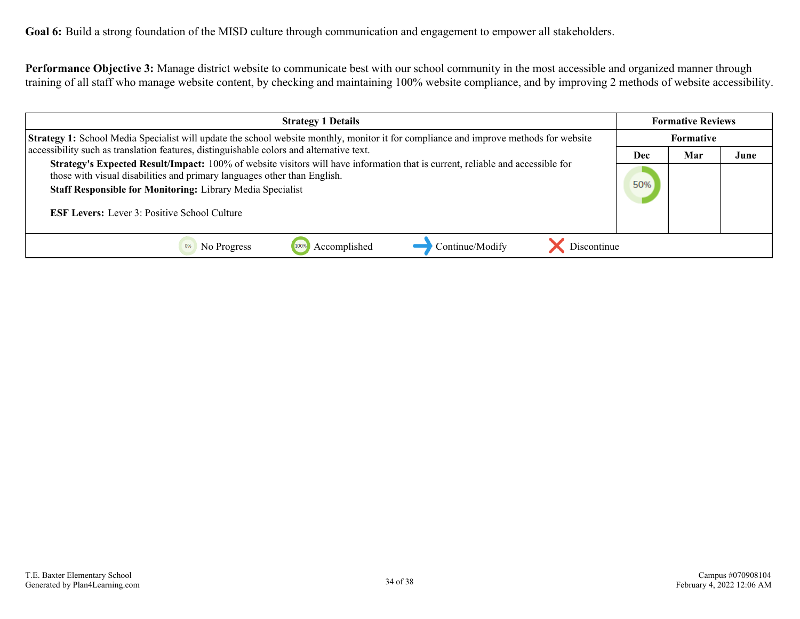**Performance Objective 3:** Manage district website to communicate best with our school community in the most accessible and organized manner through training of all staff who manage website content, by checking and maintaining 100% website compliance, and by improving 2 methods of website accessibility.

| <b>Strategy 1 Details</b>                                                                                                                                                                                                                                                                                                              |            |     | <b>Formative Reviews</b> |  |  |
|----------------------------------------------------------------------------------------------------------------------------------------------------------------------------------------------------------------------------------------------------------------------------------------------------------------------------------------|------------|-----|--------------------------|--|--|
| <b>Strategy 1:</b> School Media Specialist will update the school website monthly, monitor it for compliance and improve methods for website                                                                                                                                                                                           |            |     | <b>Formative</b>         |  |  |
| accessibility such as translation features, distinguishable colors and alternative text.                                                                                                                                                                                                                                               | <b>Dec</b> | Mar | June                     |  |  |
| Strategy's Expected Result/Impact: 100% of website visitors will have information that is current, reliable and accessible for<br>those with visual disabilities and primary languages other than English.<br><b>Staff Responsible for Monitoring: Library Media Specialist</b><br><b>ESF Levers:</b> Lever 3: Positive School Culture |            |     |                          |  |  |
| Discontinue<br>Accomplished<br>Continue/Modify<br>No Progress                                                                                                                                                                                                                                                                          |            |     |                          |  |  |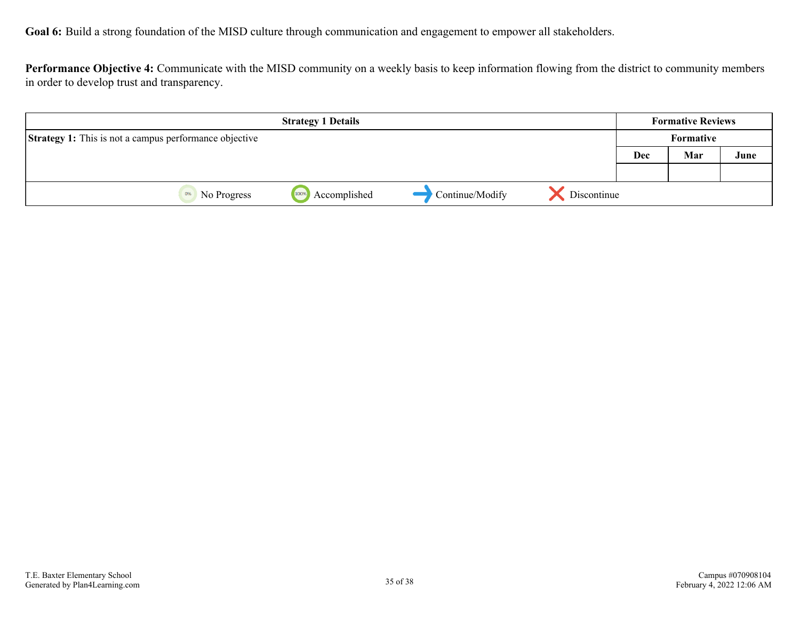**Goal 6:** Build a strong foundation of the MISD culture through communication and engagement to empower all stakeholders.

**Performance Objective 4:** Communicate with the MISD community on a weekly basis to keep information flowing from the district to community members in order to develop trust and transparency.

| <b>Strategy 1 Details</b>                                     |                      |                 | <b>Formative Reviews</b> |           |     |      |
|---------------------------------------------------------------|----------------------|-----------------|--------------------------|-----------|-----|------|
| <b>Strategy 1:</b> This is not a campus performance objective |                      |                 |                          | Formative |     |      |
|                                                               |                      |                 |                          | Dec       | Mar | June |
|                                                               |                      |                 |                          |           |     |      |
| 0%<br>No Progress                                             | 100%<br>Accomplished | Continue/Modify | Discontinue              |           |     |      |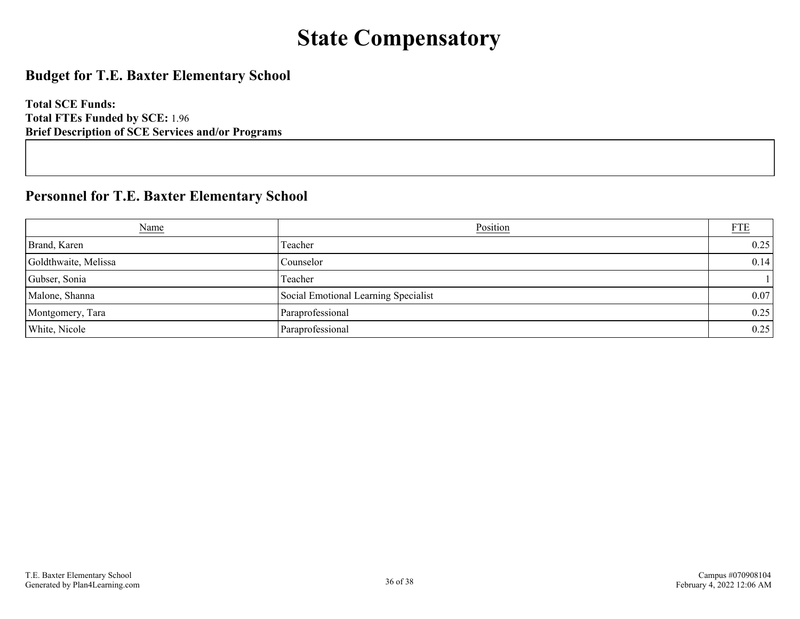# **State Compensatory**

### <span id="page-35-0"></span>**Budget for T.E. Baxter Elementary School**

**Total SCE Funds: Total FTEs Funded by SCE:** 1.96 **Brief Description of SCE Services and/or Programs**

### **Personnel for T.E. Baxter Elementary School**

| <b>Name</b>          | Position                             | <b>FTE</b> |
|----------------------|--------------------------------------|------------|
| Brand, Karen         | Teacher                              | 0.25       |
| Goldthwaite, Melissa | Counselor                            | 0.14       |
| Gubser, Sonia        | Teacher                              |            |
| Malone, Shanna       | Social Emotional Learning Specialist | 0.07       |
| Montgomery, Tara     | Paraprofessional                     | 0.25       |
| White, Nicole        | Paraprofessional                     | 0.25       |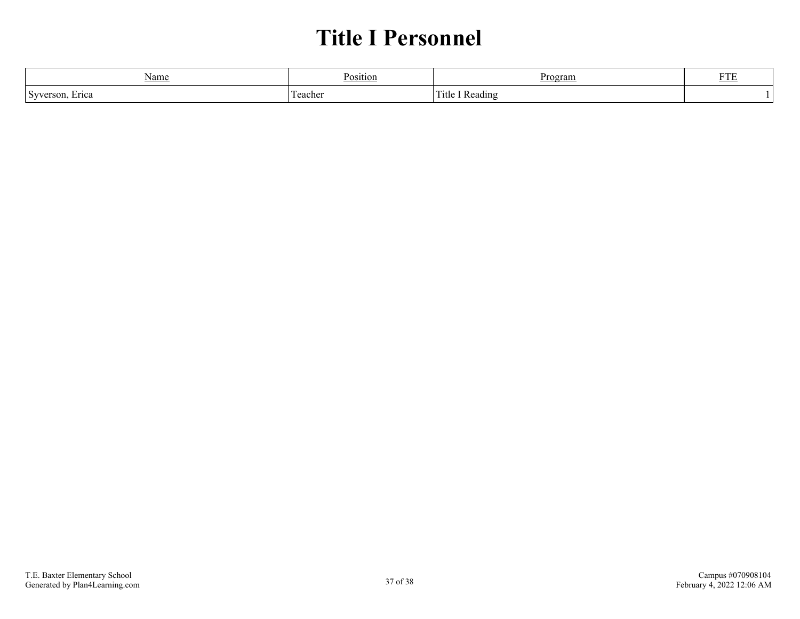## **Title I Personnel**

<span id="page-36-0"></span>

| Name                                   | <b>Position</b> | Program                  | <b>TILTI</b><br>-11 |
|----------------------------------------|-----------------|--------------------------|---------------------|
| $\Gamma$ Syver<br>Erica<br>79 A B<br>ື | eacher          | Reading<br><b>T</b> itle |                     |